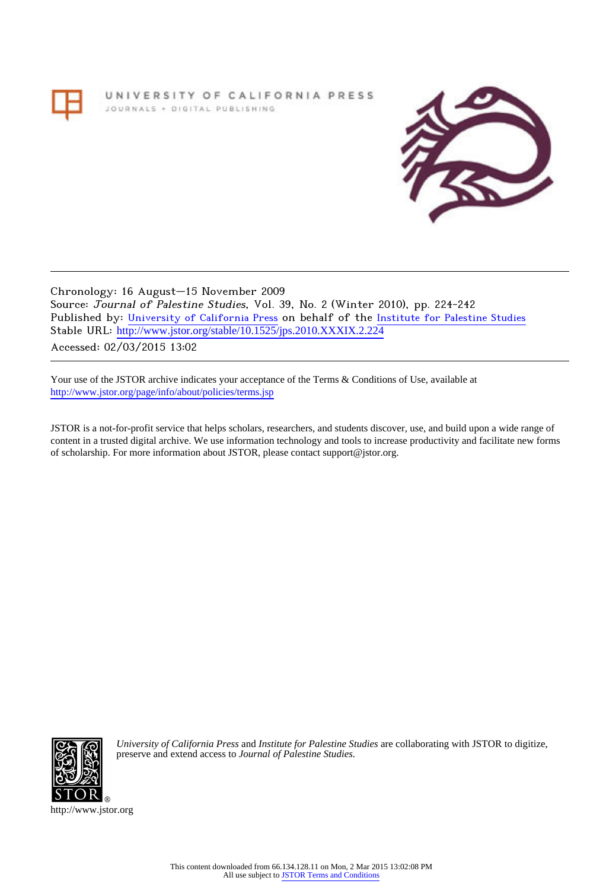# UNIVERSITY OF CALIFORNIA PRESS JOURNALS + DIGITAL PUBLISHING



Chronology: 16 August–15 November 2009 Source: Journal of Palestine Studies, Vol. 39, No. 2 (Winter 2010), pp. 224-242 Published by: [University of California Press](http://www.jstor.org/action/showPublisher?publisherCode=ucal) on behalf of the [Institute for Palestine Studies](http://www.jstor.org/action/showPublisher?publisherCode=palstud) Stable URL: http://www.jstor.org/stable/10.1525/jps.2010.XXXIX.2.224 Accessed: 02/03/2015 13:02

Your use of the JSTOR archive indicates your acceptance of the Terms & Conditions of Use, available at <http://www.jstor.org/page/info/about/policies/terms.jsp>

JSTOR is a not-for-profit service that helps scholars, researchers, and students discover, use, and build upon a wide range of content in a trusted digital archive. We use information technology and tools to increase productivity and facilitate new forms of scholarship. For more information about JSTOR, please contact support@jstor.org.



*University of California Press* and *Institute for Palestine Studies* are collaborating with JSTOR to digitize, preserve and extend access to *Journal of Palestine Studies.*

http://www.jstor.org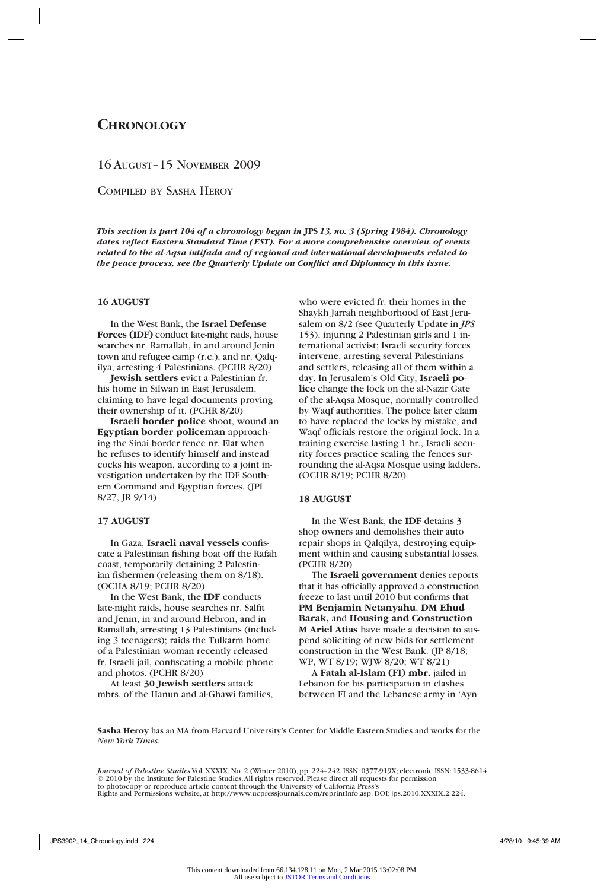# **Chronology**

## 16 August–15 November 2009

Compiled by Sasha Heroy

*This section is part 104 of a chronology begun in* **JPS** *13, no. 3 (Spring 1984). Chronology dates reflect Eastern Standard Time (EST). For a more comprehensive overview of events related to the al-Aqsa intifada and of regional and international developments related to the peace process, see the Quarterly Update on Conflict and Diplomacy in this issue.*

## **16 AUGUST**

In the West Bank, the **Israel Defense Forces (IDF)** conduct late-night raids, house searches nr. Ramallah, in and around Jenin town and refugee camp (r.c.), and nr. Qalqilya, arresting 4 Palestinians. (PCHR 8/20)

**Jewish settlers** evict a Palestinian fr. his home in Silwan in East Jerusalem, claiming to have legal documents proving their ownership of it. (PCHR 8/20)

**Israeli border police** shoot, wound an **Egyptian border policeman** approaching the Sinai border fence nr. Elat when he refuses to identify himself and instead cocks his weapon, according to a joint investigation undertaken by the IDF Southern Command and Egyptian forces. (JPI 8/27, JR 9/14)

## **17 AUGUST**

In Gaza, **Israeli naval vessels** confiscate a Palestinian fishing boat off the Rafah coast, temporarily detaining 2 Palestinian fishermen (releasing them on 8/18). (OCHA 8/19; PCHR 8/20)

In the West Bank, the **IDF** conducts late-night raids, house searches nr. Salfit and Jenin, in and around Hebron, and in Ramallah, arresting 13 Palestinians (including 3 teenagers); raids the Tulkarm home of a Palestinian woman recently released fr. Israeli jail, confiscating a mobile phone and photos. (PCHR 8/20)

At least **30 Jewish settlers** attack mbrs. of the Hanun and al-Ghawi families, who were evicted fr. their homes in the Shaykh Jarrah neighborhood of East Jerusalem on 8/2 (see Quarterly Update in *JPS* 153), injuring 2 Palestinian girls and 1 international activist; Israeli security forces intervene, arresting several Palestinians and settlers, releasing all of them within a day. In Jerusalem's Old City, **Israeli police** change the lock on the al-Nazir Gate of the al-Aqsa Mosque, normally controlled by Waqf authorities. The police later claim to have replaced the locks by mistake, and Waqf officials restore the original lock. In a training exercise lasting 1 hr., Israeli security forces practice scaling the fences surrounding the al-Aqsa Mosque using ladders. (OCHR 8/19; PCHR 8/20)

## **18 AUGUST**

In the West Bank, the **IDF** detains 3 shop owners and demolishes their auto repair shops in Qalqilya, destroying equipment within and causing substantial losses. (PCHR 8/20)

The **Israeli government** denies reports that it has officially approved a construction freeze to last until 2010 but confirms that **PM Benjamin Netanyahu**, **DM Ehud Barak,** and **Housing and Construction M Ariel Atias** have made a decision to suspend soliciting of new bids for settlement construction in the West Bank. (JP 8/18; WP, WT 8/19; WJW 8/20; WT 8/21)

A **Fatah al-Islam (FI) mbr.** jailed in Lebanon for his participation in clashes between FI and the Lebanese army in 'Ayn

**Sasha Heroy** has an MA from Harvard University's Center for Middle Eastern Studies and works for the *New York Times.*

*Journal of Palestine Studies* Vol. XXXIX, No. 2 (Winter 2010), pp. 224–242, ISSN: 0377-919X; electronic ISSN: 1533-8614. © 2010 by the Institute for Palestine Studies. All rights reserved. Please direct all requests for permission

to photocopy or reproduce article content through the University of California Press's Rights and Permissions website, at http://www.ucpressjournals.com/reprintInfo.asp. DOI: jps.2010.XXXIX.2.224.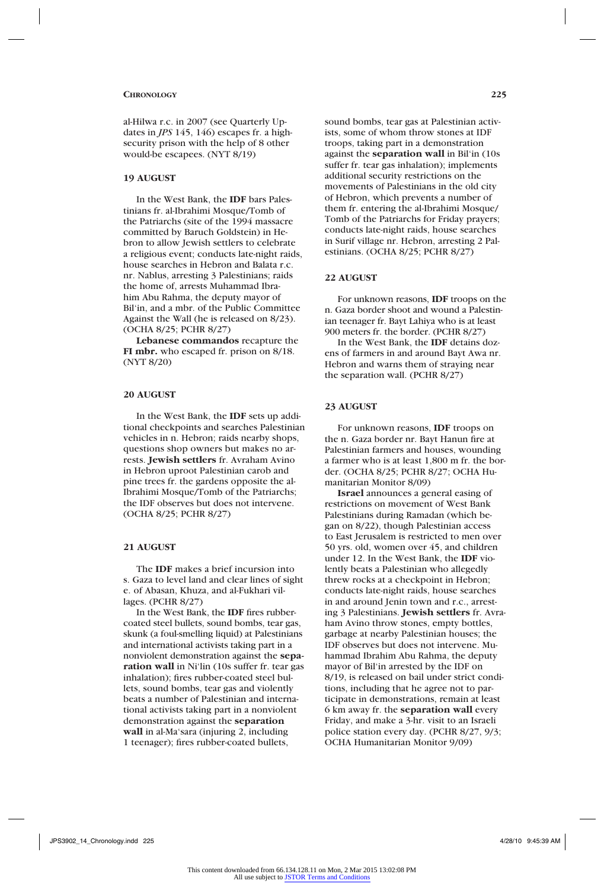al-Hilwa r.c. in 2007 (see Quarterly Updates in *JPS* 145, 146) escapes fr. a highsecurity prison with the help of 8 other would-be escapees. (NYT 8/19)

## **19 AUGUST**

In the West Bank, the **IDF** bars Palestinians fr. al-Ibrahimi Mosque/Tomb of the Patriarchs (site of the 1994 massacre committed by Baruch Goldstein) in Hebron to allow Jewish settlers to celebrate a religious event; conducts late-night raids, house searches in Hebron and Balata r.c. nr. Nablus, arresting 3 Palestinians; raids the home of, arrests Muhammad Ibrahim Abu Rahma, the deputy mayor of Bil'in, and a mbr. of the Public Committee Against the Wall (he is released on 8/23). (OCHA 8/25; PCHR 8/27)

**Lebanese commandos** recapture the **FI mbr.** who escaped fr. prison on 8/18. (NYT 8/20)

## **20 AUGUST**

In the West Bank, the **IDF** sets up additional checkpoints and searches Palestinian vehicles in n. Hebron; raids nearby shops, questions shop owners but makes no arrests. **Jewish settlers** fr. Avraham Avino in Hebron uproot Palestinian carob and pine trees fr. the gardens opposite the al-Ibrahimi Mosque/Tomb of the Patriarchs; the IDF observes but does not intervene. (OCHA 8/25; PCHR 8/27)

## **21 AUGUST**

The **IDF** makes a brief incursion into s. Gaza to level land and clear lines of sight e. of Abasan, Khuza, and al-Fukhari villages. (PCHR 8/27)

In the West Bank, the **IDF** fires rubbercoated steel bullets, sound bombs, tear gas, skunk (a foul-smelling liquid) at Palestinians and international activists taking part in a nonviolent demonstration against the **separation wall** in Ni'lin (10s suffer fr. tear gas inhalation); fires rubber-coated steel bullets, sound bombs, tear gas and violently beats a number of Palestinian and international activists taking part in a nonviolent demonstration against the **separation wall** in al-Ma'sara (injuring 2, including 1 teenager); fires rubber-coated bullets,

sound bombs, tear gas at Palestinian activists, some of whom throw stones at IDF troops, taking part in a demonstration against the **separation wall** in Bil'in (10s suffer fr. tear gas inhalation); implements additional security restrictions on the movements of Palestinians in the old city of Hebron, which prevents a number of them fr. entering the al-Ibrahimi Mosque/ Tomb of the Patriarchs for Friday prayers; conducts late-night raids, house searches in Surif village nr. Hebron, arresting 2 Palestinians. (OCHA 8/25; PCHR 8/27)

## **22 AUGUST**

For unknown reasons, **IDF** troops on the n. Gaza border shoot and wound a Palestinian teenager fr. Bayt Lahiya who is at least 900 meters fr. the border. (PCHR 8/27)

In the West Bank, the **IDF** detains dozens of farmers in and around Bayt Awa nr. Hebron and warns them of straying near the separation wall. (PCHR 8/27)

## **23 AUGUST**

For unknown reasons, **IDF** troops on the n. Gaza border nr. Bayt Hanun fire at Palestinian farmers and houses, wounding a farmer who is at least 1,800 m fr. the border. (OCHA 8/25; PCHR 8/27; OCHA Humanitarian Monitor 8/09)

**Israel** announces a general easing of restrictions on movement of West Bank Palestinians during Ramadan (which began on 8/22), though Palestinian access to East Jerusalem is restricted to men over 50 yrs. old, women over 45, and children under 12. In the West Bank, the **IDF** violently beats a Palestinian who allegedly threw rocks at a checkpoint in Hebron; conducts late-night raids, house searches in and around Jenin town and r.c., arresting 3 Palestinians. **Jewish settlers** fr. Avraham Avino throw stones, empty bottles, garbage at nearby Palestinian houses; the IDF observes but does not intervene. Muhammad Ibrahim Abu Rahma, the deputy mayor of Bil'in arrested by the IDF on 8/19, is released on bail under strict conditions, including that he agree not to participate in demonstrations, remain at least 6 km away fr. the **separation wall** every Friday, and make a 3-hr. visit to an Israeli police station every day. (PCHR 8/27, 9/3; OCHA Humanitarian Monitor 9/09)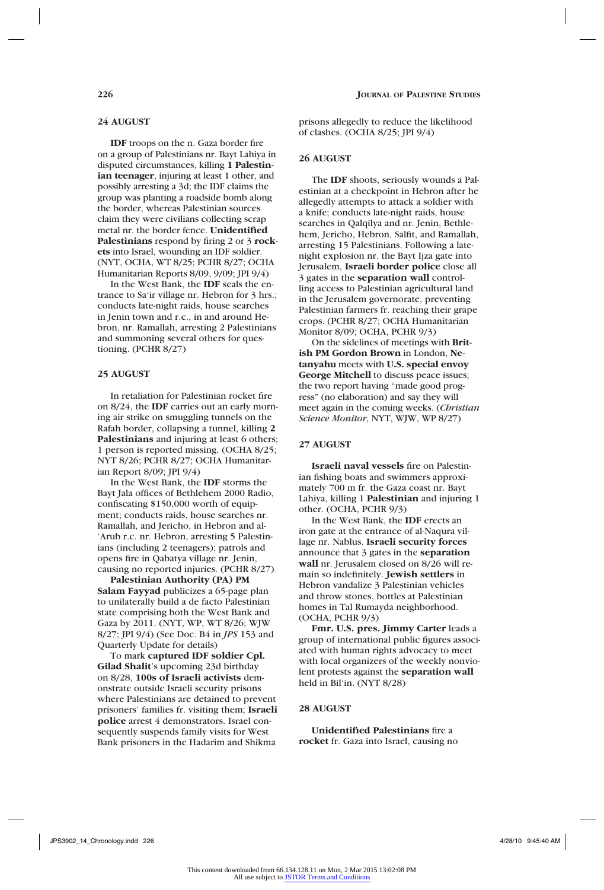## **24 AUGUST**

**IDF** troops on the n. Gaza border fire on a group of Palestinians nr. Bayt Lahiya in disputed circumstances, killing **1 Palestinian teenager**, injuring at least 1 other, and possibly arresting a 3d; the IDF claims the group was planting a roadside bomb along the border, whereas Palestinian sources claim they were civilians collecting scrap metal nr. the border fence. **Unidentified Palestinians** respond by firing 2 or 3 **rockets** into Israel, wounding an IDF soldier. (NYT, OCHA, WT 8/25; PCHR 8/27; OCHA Humanitarian Reports 8/09, 9/09; JPI 9/4)

In the West Bank, the **IDF** seals the entrance to Sa'ir village nr. Hebron for 3 hrs.; conducts late-night raids, house searches in Jenin town and r.c., in and around Hebron, nr. Ramallah, arresting 2 Palestinians and summoning several others for questioning. (PCHR 8/27)

## **25 AUGUST**

In retaliation for Palestinian rocket fire on 8/24, the **IDF** carries out an early morning air strike on smuggling tunnels on the Rafah border, collapsing a tunnel, killing **2 Palestinians** and injuring at least 6 others; 1 person is reported missing. (OCHA 8/25; NYT 8/26; PCHR 8/27; OCHA Humanitarian Report 8/09; JPI 9/4)

In the West Bank, the **IDF** storms the Bayt Jala offices of Bethlehem 2000 Radio, confiscating \$150,000 worth of equipment; conducts raids, house searches nr. Ramallah, and Jericho, in Hebron and al- 'Arub r.c. nr. Hebron, arresting 5 Palestinians (including 2 teenagers); patrols and opens fire in Qabatya village nr. Jenin, causing no reported injuries. (PCHR 8/27)

**Palestinian Authority (PA) PM Salam Fayyad** publicizes a 65-page plan to unilaterally build a de facto Palestinian state comprising both the West Bank and Gaza by 2011. (NYT, WP, WT 8/26; WJW 8/27; JPI 9/4) (See Doc. B4 in *JPS* 153 and Quarterly Update for details)

To mark **captured IDF soldier Cpl. Gilad Shalit**'s upcoming 23d birthday on 8/28, **100s of Israeli activists** demonstrate outside Israeli security prisons where Palestinians are detained to prevent prisoners' families fr. visiting them; **Israeli police** arrest 4 demonstrators. Israel consequently suspends family visits for West Bank prisoners in the Hadarim and Shikma

prisons allegedly to reduce the likelihood of clashes. (OCHA 8/25; JPI 9/4)

## **26 AUGUST**

The **IDF** shoots, seriously wounds a Palestinian at a checkpoint in Hebron after he allegedly attempts to attack a soldier with a knife; conducts late-night raids, house searches in Qalqilya and nr. Jenin, Bethlehem, Jericho, Hebron, Salfit, and Ramallah, arresting 15 Palestinians. Following a latenight explosion nr. the Bayt Ijza gate into Jerusalem, **Israeli border police** close all 3 gates in the **separation wall** controlling access to Palestinian agricultural land in the Jerusalem governorate, preventing Palestinian farmers fr. reaching their grape crops. (PCHR 8/27; OCHA Humanitarian Monitor 8/09; OCHA, PCHR 9/3)

On the sidelines of meetings with **British PM Gordon Brown** in London, **Netanyahu** meets with **U.S. special envoy George Mitchell** to discuss peace issues; the two report having "made good progress" (no elaboration) and say they will meet again in the coming weeks. (*Christian Science Monitor*, NYT, WJW, WP 8/27)

#### **27 AUGUST**

**Israeli naval vessels** fire on Palestinian fishing boats and swimmers approximately 700 m fr. the Gaza coast nr. Bayt Lahiya, killing 1 **Palestinian** and injuring 1 other. (OCHA, PCHR 9/3)

In the West Bank, the **IDF** erects an iron gate at the entrance of al-Naqura village nr. Nablus. **Israeli security forces** announce that 3 gates in the **separation wall** nr. Jerusalem closed on 8/26 will remain so indefinitely. **Jewish settlers** in Hebron vandalize 3 Palestinian vehicles and throw stones, bottles at Palestinian homes in Tal Rumayda neighborhood. (OCHA, PCHR 9/3)

**Fmr. U.S. pres. Jimmy Carter** leads a group of international public figures associated with human rights advocacy to meet with local organizers of the weekly nonviolent protests against the **separation wall** held in Bil'in. (NYT 8/28)

### **28 AUGUST**

**Unidentified Palestinians** fire a **rocket** fr. Gaza into Israel, causing no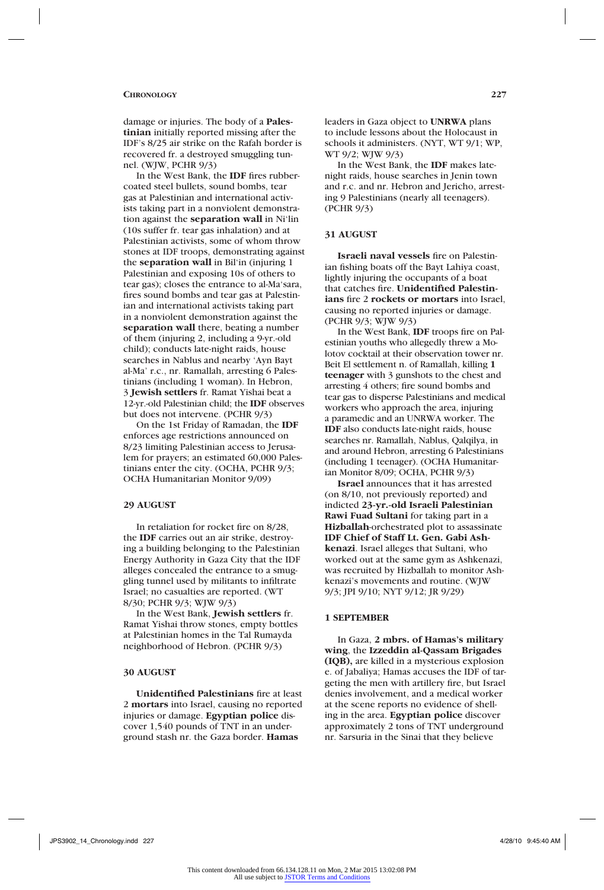damage or injuries. The body of a **Palestinian** initially reported missing after the IDF's 8/25 air strike on the Rafah border is recovered fr. a destroyed smuggling tunnel. (WJW, PCHR 9/3)

In the West Bank, the **IDF** fires rubbercoated steel bullets, sound bombs, tear gas at Palestinian and international activists taking part in a nonviolent demonstration against the **separation wall** in Ni'lin (10s suffer fr. tear gas inhalation) and at Palestinian activists, some of whom throw stones at IDF troops, demonstrating against the **separation wall** in Bil'in (injuring 1 Palestinian and exposing 10s of others to tear gas); closes the entrance to al-Ma'sara, fires sound bombs and tear gas at Palestinian and international activists taking part in a nonviolent demonstration against the **separation wall** there, beating a number of them (injuring 2, including a 9-yr.-old child); conducts late-night raids, house searches in Nablus and nearby 'Ayn Bayt al-Ma' r.c., nr. Ramallah, arresting 6 Palestinians (including 1 woman). In Hebron, 3 **Jewish settlers** fr. Ramat Yishai beat a 12-yr.-old Palestinian child; the **IDF** observes but does not intervene. (PCHR 9/3)

On the 1st Friday of Ramadan, the **IDF** enforces age restrictions announced on 8/23 limiting Palestinian access to Jerusalem for prayers; an estimated 60,000 Palestinians enter the city. (OCHA, PCHR 9/3; OCHA Humanitarian Monitor 9/09)

## **29 AUGUST**

In retaliation for rocket fire on 8/28, the **IDF** carries out an air strike, destroying a building belonging to the Palestinian Energy Authority in Gaza City that the IDF alleges concealed the entrance to a smuggling tunnel used by militants to infiltrate Israel; no casualties are reported. (WT 8/30; PCHR 9/3; WJW 9/3)

In the West Bank, **Jewish settlers** fr. Ramat Yishai throw stones, empty bottles at Palestinian homes in the Tal Rumayda neighborhood of Hebron. (PCHR 9/3)

## **30 AUGUST**

**Unidentified Palestinians** fire at least 2 **mortars** into Israel, causing no reported injuries or damage. **Egyptian police** discover 1,540 pounds of TNT in an underground stash nr. the Gaza border. **Hamas**

leaders in Gaza object to **UNRWA** plans to include lessons about the Holocaust in schools it administers. (NYT, WT 9/1; WP, WT 9/2; WJW 9/3)

In the West Bank, the **IDF** makes latenight raids, house searches in Jenin town and r.c. and nr. Hebron and Jericho, arresting 9 Palestinians (nearly all teenagers). (PCHR 9/3)

## **31 AUGUST**

**Israeli naval vessels** fire on Palestinian fishing boats off the Bayt Lahiya coast, lightly injuring the occupants of a boat that catches fire. **Unidentified Palestinians** fire 2 **rockets or mortars** into Israel, causing no reported injuries or damage. (PCHR 9/3; WJW 9/3)

In the West Bank, **IDF** troops fire on Palestinian youths who allegedly threw a Molotov cocktail at their observation tower nr. Beit El settlement n. of Ramallah, killing **1 teenager** with 3 gunshots to the chest and arresting 4 others; fire sound bombs and tear gas to disperse Palestinians and medical workers who approach the area, injuring a paramedic and an UNRWA worker. The **IDF** also conducts late-night raids, house searches nr. Ramallah, Nablus, Qalqilya, in and around Hebron, arresting 6 Palestinians (including 1 teenager). (OCHA Humanitarian Monitor 8/09; OCHA, PCHR 9/3)

**Israel** announces that it has arrested (on 8/10, not previously reported) and indicted **23-yr.-old Israeli Palestinian Rawi Fuad Sultani** for taking part in a **Hizballah**-orchestrated plot to assassinate **IDF Chief of Staff Lt. Gen. Gabi Ashkenazi**. Israel alleges that Sultani, who worked out at the same gym as Ashkenazi, was recruited by Hizballah to monitor Ashkenazi's movements and routine. (WJW 9/3; JPI 9/10; NYT 9/12; JR 9/29)

## **1 SEPTEMBER**

In Gaza, **2 mbrs. of Hamas's military wing**, the **Izzeddin al-Qassam Brigades (IQB),** are killed in a mysterious explosion e. of Jabaliya; Hamas accuses the IDF of targeting the men with artillery fire, but Israel denies involvement, and a medical worker at the scene reports no evidence of shelling in the area. **Egyptian police** discover approximately 2 tons of TNT underground nr. Sarsuria in the Sinai that they believe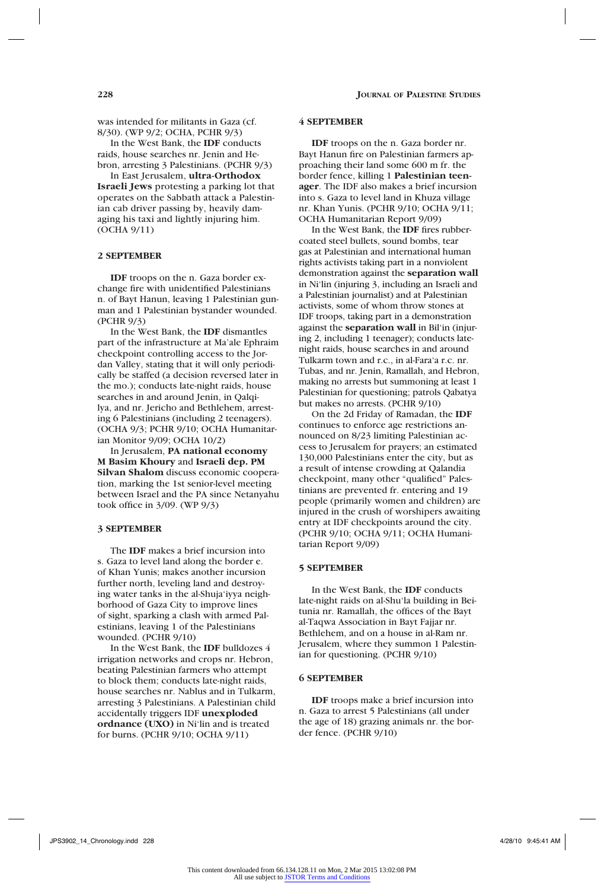was intended for militants in Gaza (cf. 8/30). (WP 9/2; OCHA, PCHR 9/3)

In the West Bank, the **IDF** conducts raids, house searches nr. Jenin and Hebron, arresting 3 Palestinians. (PCHR 9/3)

In East Jerusalem, **ultra-Orthodox Israeli Jews** protesting a parking lot that operates on the Sabbath attack a Palestinian cab driver passing by, heavily damaging his taxi and lightly injuring him. (OCHA 9/11)

## **2 SEPTEMBER**

**IDF** troops on the n. Gaza border exchange fire with unidentified Palestinians n. of Bayt Hanun, leaving 1 Palestinian gunman and 1 Palestinian bystander wounded. (PCHR 9/3)

In the West Bank, the **IDF** dismantles part of the infrastructure at Ma'ale Ephraim checkpoint controlling access to the Jordan Valley, stating that it will only periodically be staffed (a decision reversed later in the mo.); conducts late-night raids, house searches in and around Jenin, in Qalqilya, and nr. Jericho and Bethlehem, arresting 6 Palestinians (including 2 teenagers). (OCHA 9/3; PCHR 9/10; OCHA Humanitarian Monitor 9/09; OCHA 10/2)

In Jerusalem, **PA national economy M Basim Khoury** and **Israeli dep. PM Silvan Shalom** discuss economic cooperation, marking the 1st senior-level meeting between Israel and the PA since Netanyahu took office in 3/09. (WP 9/3)

## **3 SEPTEMBER**

The **IDF** makes a brief incursion into s. Gaza to level land along the border e. of Khan Yunis; makes another incursion further north, leveling land and destroying water tanks in the al-Shuja'iyya neighborhood of Gaza City to improve lines of sight, sparking a clash with armed Palestinians, leaving 1 of the Palestinians wounded. (PCHR 9/10)

In the West Bank, the **IDF** bulldozes 4 irrigation networks and crops nr. Hebron, beating Palestinian farmers who attempt to block them; conducts late-night raids, house searches nr. Nablus and in Tulkarm, arresting 3 Palestinians. A Palestinian child accidentally triggers IDF **unexploded ordnance (UXO)** in Ni'lin and is treated for burns. (PCHR 9/10; OCHA 9/11)

### **4 SEPTEMBER**

**IDF** troops on the n. Gaza border nr. Bayt Hanun fire on Palestinian farmers approaching their land some 600 m fr. the border fence, killing 1 **Palestinian teenager**. The IDF also makes a brief incursion into s. Gaza to level land in Khuza village nr. Khan Yunis. (PCHR 9/10; OCHA 9/11; OCHA Humanitarian Report 9/09)

In the West Bank, the **IDF** fires rubbercoated steel bullets, sound bombs, tear gas at Palestinian and international human rights activists taking part in a nonviolent demonstration against the **separation wall** in Ni'lin (injuring 3, including an Israeli and a Palestinian journalist) and at Palestinian activists, some of whom throw stones at IDF troops, taking part in a demonstration against the **separation wall** in Bil'in (injuring 2, including 1 teenager); conducts latenight raids, house searches in and around Tulkarm town and r.c., in al-Fara'a r.c. nr. Tubas, and nr. Jenin, Ramallah, and Hebron, making no arrests but summoning at least 1 Palestinian for questioning; patrols Qabatya but makes no arrests. (PCHR 9/10)

On the 2d Friday of Ramadan, the **IDF** continues to enforce age restrictions announced on 8/23 limiting Palestinian access to Jerusalem for prayers; an estimated 130,000 Palestinians enter the city, but as a result of intense crowding at Qalandia checkpoint, many other "qualified" Palestinians are prevented fr. entering and 19 people (primarily women and children) are injured in the crush of worshipers awaiting entry at IDF checkpoints around the city. (PCHR 9/10; OCHA 9/11; OCHA Humanitarian Report 9/09)

## **5 SEPTEMBER**

In the West Bank, the **IDF** conducts late-night raids on al-Shu'la building in Beitunia nr. Ramallah, the offices of the Bayt al-Taqwa Association in Bayt Fajjar nr. Bethlehem, and on a house in al-Ram nr. Jerusalem, where they summon 1 Palestinian for questioning. (PCHR 9/10)

## **6 SEPTEMBER**

**IDF** troops make a brief incursion into n. Gaza to arrest 5 Palestinians (all under the age of 18) grazing animals nr. the border fence. (PCHR 9/10)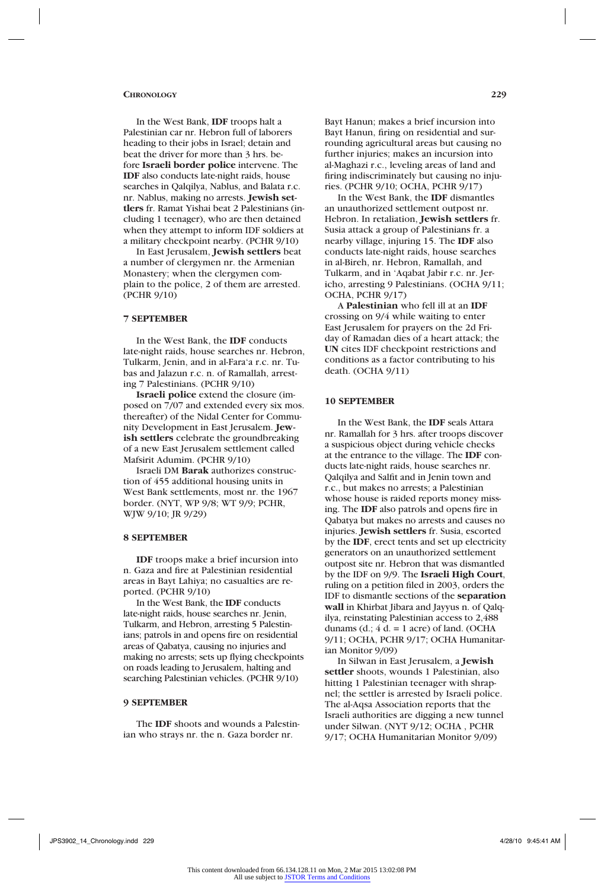In the West Bank, **IDF** troops halt a Palestinian car nr. Hebron full of laborers heading to their jobs in Israel; detain and beat the driver for more than 3 hrs. before **Israeli border police** intervene. The **IDF** also conducts late-night raids, house searches in Oalqilya, Nablus, and Balata r.c. nr. Nablus, making no arrests. **Jewish settlers** fr. Ramat Yishai beat 2 Palestinians (including 1 teenager), who are then detained when they attempt to inform IDF soldiers at a military checkpoint nearby. (PCHR 9/10)

In East Jerusalem, **Jewish settlers** beat a number of clergymen nr. the Armenian Monastery; when the clergymen complain to the police, 2 of them are arrested. (PCHR 9/10)

## **7 SEPTEMBER**

In the West Bank, the **IDF** conducts late-night raids, house searches nr. Hebron, Tulkarm, Jenin, and in al-Fara'a r.c. nr. Tubas and Jalazun r.c. n. of Ramallah, arresting 7 Palestinians. (PCHR 9/10)

**Israeli police** extend the closure (imposed on 7/07 and extended every six mos. thereafter) of the Nidal Center for Community Development in East Jerusalem. **Jewish settlers** celebrate the groundbreaking of a new East Jerusalem settlement called Mafsirit Adumim. (PCHR 9/10)

Israeli DM **Barak** authorizes construction of 455 additional housing units in West Bank settlements, most nr. the 1967 border. (NYT, WP 9/8; WT 9/9; PCHR, WJW 9/10; JR 9/29)

## **8 SEPTEMBER**

**IDF** troops make a brief incursion into n. Gaza and fire at Palestinian residential areas in Bayt Lahiya; no casualties are reported. (PCHR 9/10)

In the West Bank, the **IDF** conducts late-night raids, house searches nr. Jenin, Tulkarm, and Hebron, arresting 5 Palestinians; patrols in and opens fire on residential areas of Qabatya, causing no injuries and making no arrests; sets up flying checkpoints on roads leading to Jerusalem, halting and searching Palestinian vehicles. (PCHR 9/10)

#### **9 SEPTEMBER**

The **IDF** shoots and wounds a Palestinian who strays nr. the n. Gaza border nr.

Bayt Hanun; makes a brief incursion into Bayt Hanun, firing on residential and surrounding agricultural areas but causing no further injuries; makes an incursion into al-Maghazi r.c., leveling areas of land and firing indiscriminately but causing no injuries. (PCHR 9/10; OCHA, PCHR 9/17)

In the West Bank, the **IDF** dismantles an unauthorized settlement outpost nr. Hebron. In retaliation, **Jewish settlers** fr. Susia attack a group of Palestinians fr. a nearby village, injuring 15. The **IDF** also conducts late-night raids, house searches in al-Bireh, nr. Hebron, Ramallah, and Tulkarm, and in 'Aqabat Jabir r.c. nr. Jericho, arresting 9 Palestinians. (OCHA 9/11; OCHA, PCHR 9/17)

A **Palestinian** who fell ill at an **IDF** crossing on 9/4 while waiting to enter East Jerusalem for prayers on the 2d Friday of Ramadan dies of a heart attack; the **UN** cites IDF checkpoint restrictions and conditions as a factor contributing to his death. (OCHA 9/11)

#### **10 SEPTEMBER**

In the West Bank, the **IDF** seals Attara nr. Ramallah for 3 hrs. after troops discover a suspicious object during vehicle checks at the entrance to the village. The **IDF** conducts late-night raids, house searches nr. Qalqilya and Salfit and in Jenin town and r.c., but makes no arrests; a Palestinian whose house is raided reports money missing. The **IDF** also patrols and opens fire in Qabatya but makes no arrests and causes no injuries. **Jewish settlers** fr. Susia, escorted by the **IDF**, erect tents and set up electricity generators on an unauthorized settlement outpost site nr. Hebron that was dismantled by the IDF on 9/9. The **Israeli High Court**, ruling on a petition filed in 2003, orders the IDF to dismantle sections of the **separation wall** in Khirbat Jibara and Jayyus n. of Qalqilya, reinstating Palestinian access to 2,488 dunams (d.;  $4 d = 1$  acre) of land. (OCHA 9/11; OCHA, PCHR 9/17; OCHA Humanitarian Monitor 9/09)

In Silwan in East Jerusalem, a **Jewish settler** shoots, wounds 1 Palestinian, also hitting 1 Palestinian teenager with shrapnel; the settler is arrested by Israeli police. The al-Aqsa Association reports that the Israeli authorities are digging a new tunnel under Silwan. (NYT 9/12; OCHA , PCHR 9/17; OCHA Humanitarian Monitor 9/09)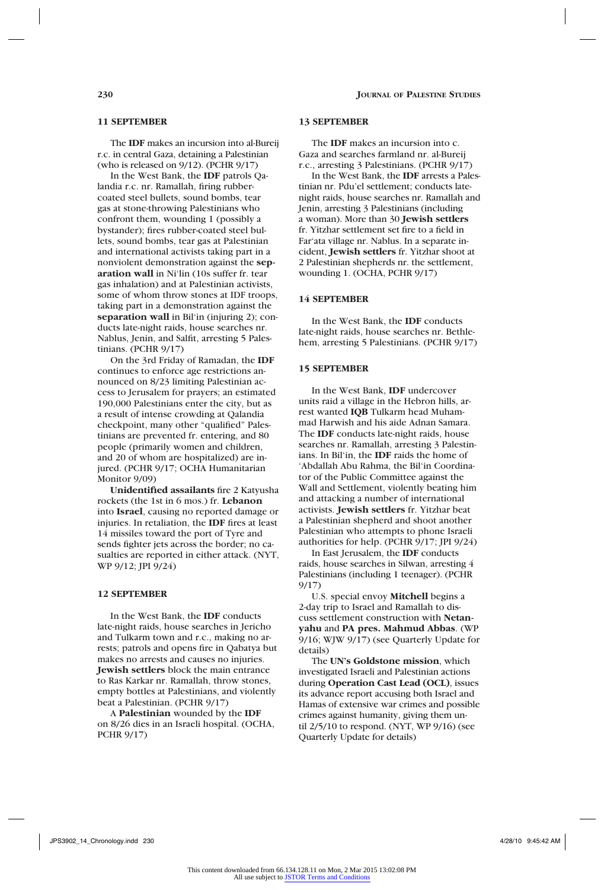## **11 SEPTEMBER**

The **IDF** makes an incursion into al-Bureij r.c. in central Gaza, detaining a Palestinian (who is released on 9/12). (PCHR 9/17)

In the West Bank, the **IDF** patrols Qalandia r.c. nr. Ramallah, firing rubbercoated steel bullets, sound bombs, tear gas at stone-throwing Palestinians who confront them, wounding 1 (possibly a bystander); fires rubber-coated steel bullets, sound bombs, tear gas at Palestinian and international activists taking part in a nonviolent demonstration against the **separation wall** in Ni'lin (10s suffer fr. tear gas inhalation) and at Palestinian activists, some of whom throw stones at IDF troops, taking part in a demonstration against the **separation wall** in Bil'in (injuring 2); conducts late-night raids, house searches nr. Nablus, Jenin, and Salfit, arresting 5 Palestinians. (PCHR 9/17)

On the 3rd Friday of Ramadan, the **IDF** continues to enforce age restrictions announced on 8/23 limiting Palestinian access to Jerusalem for prayers; an estimated 190,000 Palestinians enter the city, but as a result of intense crowding at Qalandia checkpoint, many other "qualified" Palestinians are prevented fr. entering, and 80 people (primarily women and children, and 20 of whom are hospitalized) are injured. (PCHR 9/17; OCHA Humanitarian Monitor 9/09)

**Unidentified assailants** fire 2 Katyusha rockets (the 1st in 6 mos.) fr. **Lebanon** into **Israel**, causing no reported damage or injuries. In retaliation, the **IDF** fires at least 14 missiles toward the port of Tyre and sends fighter jets across the border; no casualties are reported in either attack. (NYT, WP 9/12; JPI 9/24)

## **12 SEPTEMBER**

In the West Bank, the **IDF** conducts late-night raids, house searches in Jericho and Tulkarm town and r.c., making no arrests; patrols and opens fire in Qabatya but makes no arrests and causes no injuries. **Jewish settlers** block the main entrance to Ras Karkar nr. Ramallah, throw stones, empty bottles at Palestinians, and violently beat a Palestinian. (PCHR 9/17)

A **Palestinian** wounded by the **IDF** on 8/26 dies in an Israeli hospital. (OCHA, PCHR 9/17)

## **13 SEPTEMBER**

The **IDF** makes an incursion into c. Gaza and searches farmland nr. al-Bureij r.c., arresting 3 Palestinians. (PCHR 9/17)

In the West Bank, the **IDF** arrests a Palestinian nr. Pdu'el settlement; conducts latenight raids, house searches nr. Ramallah and Jenin, arresting 3 Palestinians (including a woman). More than 30 **Jewish settlers** fr. Yitzhar settlement set fire to a field in Far'ata village nr. Nablus. In a separate incident, **Jewish settlers** fr. Yitzhar shoot at 2 Palestinian shepherds nr. the settlement, wounding 1. (OCHA, PCHR 9/17)

## **14 SEPTEMBER**

In the West Bank, the **IDF** conducts late-night raids, house searches nr. Bethlehem, arresting 5 Palestinians. (PCHR 9/17)

## **15 SEPTEMBER**

In the West Bank, **IDF** undercover units raid a village in the Hebron hills, arrest wanted **IQB** Tulkarm head Muhammad Harwish and his aide Adnan Samara. The **IDF** conducts late-night raids, house searches nr. Ramallah, arresting 3 Palestinians. In Bil'in, the **IDF** raids the home of 'Abdallah Abu Rahma, the Bil'in Coordinator of the Public Committee against the Wall and Settlement, violently beating him and attacking a number of international activists. **Jewish settlers** fr. Yitzhar beat a Palestinian shepherd and shoot another Palestinian who attempts to phone Israeli authorities for help. (PCHR 9/17; JPI 9/24)

In East Jerusalem, the **IDF** conducts raids, house searches in Silwan, arresting 4 Palestinians (including 1 teenager). (PCHR 9/17)

U.S. special envoy **Mitchell** begins a 2-day trip to Israel and Ramallah to discuss settlement construction with **Netanyahu** and **PA pres. Mahmud Abbas**. (WP 9/16; WJW 9/17) (see Quarterly Update for details)

The **UN's Goldstone mission**, which investigated Israeli and Palestinian actions during **Operation Cast Lead (OCL)**, issues its advance report accusing both Israel and Hamas of extensive war crimes and possible crimes against humanity, giving them until 2/5/10 to respond. (NYT, WP 9/16) (see Quarterly Update for details)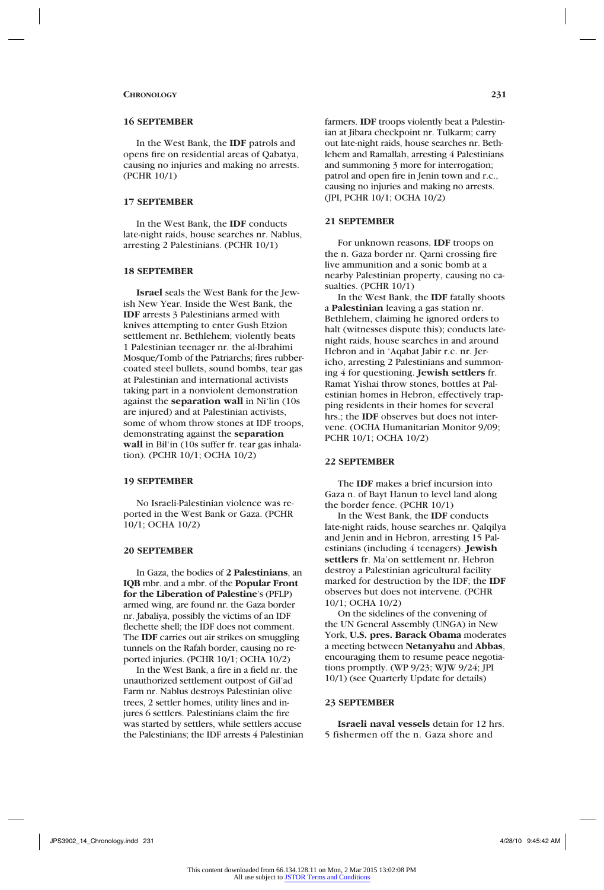### **16 SEPTEMBER**

In the West Bank, the **IDF** patrols and opens fire on residential areas of Qabatya, causing no injuries and making no arrests. (PCHR 10/1)

## **17 SEPTEMBER**

In the West Bank, the **IDF** conducts late-night raids, house searches nr. Nablus, arresting 2 Palestinians. (PCHR 10/1)

#### **18 SEPTEMBER**

**Israel** seals the West Bank for the Jewish New Year. Inside the West Bank, the **IDF** arrests 3 Palestinians armed with knives attempting to enter Gush Etzion settlement nr. Bethlehem; violently beats 1 Palestinian teenager nr. the al-Ibrahimi Mosque/Tomb of the Patriarchs; fires rubbercoated steel bullets, sound bombs, tear gas at Palestinian and international activists taking part in a nonviolent demonstration against the **separation wall** in Ni'lin (10s are injured) and at Palestinian activists, some of whom throw stones at IDF troops, demonstrating against the **separation wall** in Bil'in (10s suffer fr. tear gas inhalation). (PCHR 10/1; OCHA 10/2)

## **19 SEPTEMBER**

No Israeli-Palestinian violence was reported in the West Bank or Gaza. (PCHR 10/1; OCHA 10/2)

## **20 SEPTEMBER**

In Gaza, the bodies of **2 Palestinians**, an **IQB** mbr. and a mbr. of the **Popular Front for the Liberation of Palestine**'s (PFLP) armed wing, are found nr. the Gaza border nr. Jabaliya, possibly the victims of an IDF flechette shell; the IDF does not comment. The **IDF** carries out air strikes on smuggling tunnels on the Rafah border, causing no reported injuries. (PCHR 10/1; OCHA 10/2)

In the West Bank, a fire in a field nr. the unauthorized settlement outpost of Gil'ad Farm nr. Nablus destroys Palestinian olive trees, 2 settler homes, utility lines and injures 6 settlers. Palestinians claim the fire was started by settlers, while settlers accuse the Palestinians; the IDF arrests 4 Palestinian farmers. **IDF** troops violently beat a Palestinian at Jibara checkpoint nr. Tulkarm; carry out late-night raids, house searches nr. Bethlehem and Ramallah, arresting 4 Palestinians and summoning 3 more for interrogation; patrol and open fire in Jenin town and r.c., causing no injuries and making no arrests. (JPI, PCHR 10/1; OCHA 10/2)

### **21 SEPTEMBER**

For unknown reasons, **IDF** troops on the n. Gaza border nr. Qarni crossing fire live ammunition and a sonic bomb at a nearby Palestinian property, causing no casualties. (PCHR 10/1)

In the West Bank, the **IDF** fatally shoots a **Palestinian** leaving a gas station nr. Bethlehem, claiming he ignored orders to halt (witnesses dispute this); conducts latenight raids, house searches in and around Hebron and in 'Aqabat Jabir r.c. nr. Jericho, arresting 2 Palestinians and summoning 4 for questioning. **Jewish settlers** fr. Ramat Yishai throw stones, bottles at Palestinian homes in Hebron, effectively trapping residents in their homes for several hrs.; the **IDF** observes but does not intervene. (OCHA Humanitarian Monitor 9/09; PCHR 10/1; OCHA 10/2)

## **22 SEPTEMBER**

The **IDF** makes a brief incursion into Gaza n. of Bayt Hanun to level land along the border fence. (PCHR 10/1)

In the West Bank, the **IDF** conducts late-night raids, house searches nr. Qalqilya and Jenin and in Hebron, arresting 15 Palestinians (including 4 teenagers). **Jewish settlers** fr. Ma'on settlement nr. Hebron destroy a Palestinian agricultural facility marked for destruction by the IDF; the **IDF** observes but does not intervene. (PCHR 10/1; OCHA 10/2)

On the sidelines of the convening of the UN General Assembly (UNGA) in New York, **U.S. pres. Barack Obama** moderates a meeting between **Netanyahu** and **Abbas**, encouraging them to resume peace negotiations promptly. (WP 9/23; WJW 9/24; JPI 10/1) (see Quarterly Update for details)

### **23 SEPTEMBER**

**Israeli naval vessels** detain for 12 hrs. 5 fishermen off the n. Gaza shore and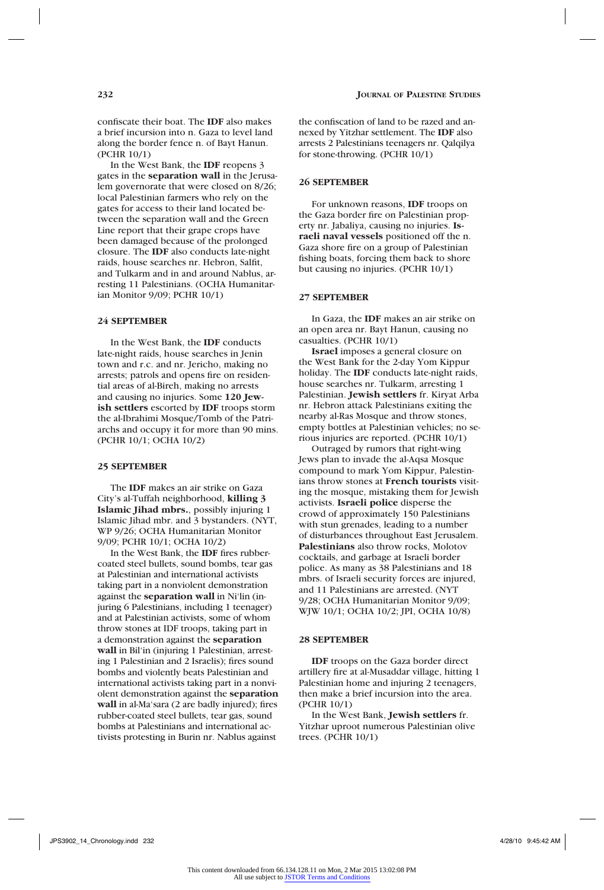confiscate their boat. The **IDF** also makes a brief incursion into n. Gaza to level land along the border fence n. of Bayt Hanun. (PCHR 10/1)

In the West Bank, the **IDF** reopens 3 gates in the **separation wall** in the Jerusalem governorate that were closed on 8/26; local Palestinian farmers who rely on the gates for access to their land located between the separation wall and the Green Line report that their grape crops have been damaged because of the prolonged closure. The **IDF** also conducts late-night raids, house searches nr. Hebron, Salfit, and Tulkarm and in and around Nablus, arresting 11 Palestinians. (OCHA Humanitarian Monitor 9/09; PCHR 10/1)

## **24 SEPTEMBER**

In the West Bank, the **IDF** conducts late-night raids, house searches in Jenin town and r.c. and nr. Jericho, making no arrests; patrols and opens fire on residential areas of al-Bireh, making no arrests and causing no injuries. Some **120 Jewish settlers** escorted by **IDF** troops storm the al-Ibrahimi Mosque/Tomb of the Patriarchs and occupy it for more than 90 mins. (PCHR 10/1; OCHA 10/2)

## **25 SEPTEMBER**

The **IDF** makes an air strike on Gaza City's al-Tuffah neighborhood, **killing 3 Islamic Jihad mbrs.**, possibly injuring 1 Islamic Jihad mbr. and 3 bystanders. (NYT, WP 9/26; OCHA Humanitarian Monitor 9/09; PCHR 10/1; OCHA 10/2)

In the West Bank, the **IDF** fires rubbercoated steel bullets, sound bombs, tear gas at Palestinian and international activists taking part in a nonviolent demonstration against the **separation wall** in Ni'lin (injuring 6 Palestinians, including 1 teenager) and at Palestinian activists, some of whom throw stones at IDF troops, taking part in a demonstration against the **separation wall** in Bil'in (injuring 1 Palestinian, arresting 1 Palestinian and 2 Israelis); fires sound bombs and violently beats Palestinian and international activists taking part in a nonviolent demonstration against the **separation wall** in al-Ma'sara (2 are badly injured); fires rubber-coated steel bullets, tear gas, sound bombs at Palestinians and international activists protesting in Burin nr. Nablus against

the confiscation of land to be razed and annexed by Yitzhar settlement. The **IDF** also arrests 2 Palestinians teenagers nr. Qalqilya for stone-throwing. (PCHR 10/1)

## **26 SEPTEMBER**

For unknown reasons, **IDF** troops on the Gaza border fire on Palestinian property nr. Jabaliya, causing no injuries. **Israeli naval vessels** positioned off the n. Gaza shore fire on a group of Palestinian fishing boats, forcing them back to shore but causing no injuries. (PCHR 10/1)

### **27 SEPTEMBER**

In Gaza, the **IDF** makes an air strike on an open area nr. Bayt Hanun, causing no casualties. (PCHR 10/1)

**Israel** imposes a general closure on the West Bank for the 2-day Yom Kippur holiday. The **IDF** conducts late-night raids, house searches nr. Tulkarm, arresting 1 Palestinian. **Jewish settlers** fr. Kiryat Arba nr. Hebron attack Palestinians exiting the nearby al-Ras Mosque and throw stones, empty bottles at Palestinian vehicles; no serious injuries are reported. (PCHR 10/1)

Outraged by rumors that right-wing Jews plan to invade the al-Aqsa Mosque compound to mark Yom Kippur, Palestinians throw stones at **French tourists** visiting the mosque, mistaking them for Jewish activists. **Israeli police** disperse the crowd of approximately 150 Palestinians with stun grenades, leading to a number of disturbances throughout East Jerusalem. **Palestinians** also throw rocks, Molotov cocktails, and garbage at Israeli border police. As many as 38 Palestinians and 18 mbrs. of Israeli security forces are injured, and 11 Palestinians are arrested. (NYT 9/28; OCHA Humanitarian Monitor 9/09; WJW 10/1; OCHA 10/2; JPI, OCHA 10/8)

## **28 SEPTEMBER**

**IDF** troops on the Gaza border direct artillery fire at al-Musaddar village, hitting 1 Palestinian home and injuring 2 teenagers, then make a brief incursion into the area. (PCHR 10/1)

In the West Bank, **Jewish settlers** fr. Yitzhar uproot numerous Palestinian olive trees. (PCHR 10/1)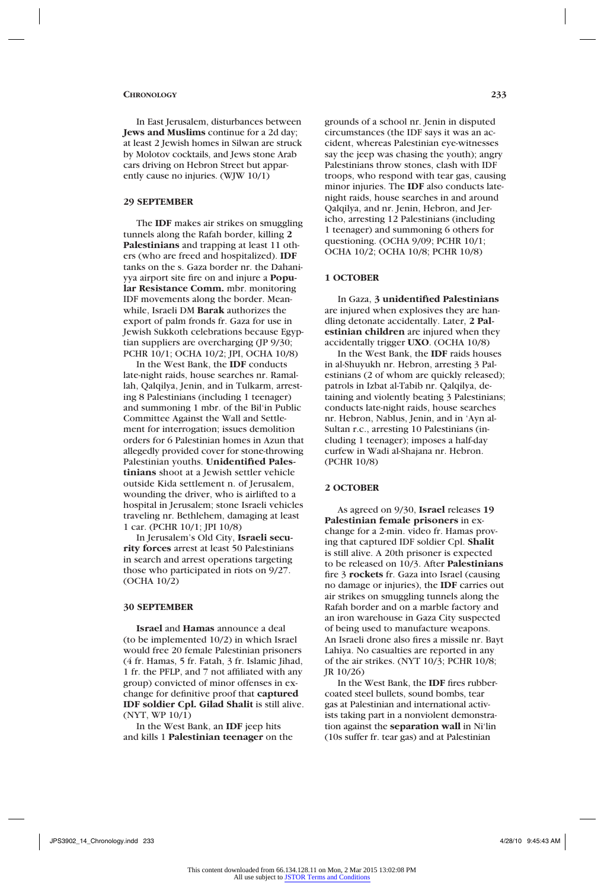In East Jerusalem, disturbances between **Jews and Muslims** continue for a 2d day; at least 2 Jewish homes in Silwan are struck by Molotov cocktails, and Jews stone Arab cars driving on Hebron Street but apparently cause no injuries. (WJW 10/1)

## **29 SEPTEMBER**

The **IDF** makes air strikes on smuggling tunnels along the Rafah border, killing **2 Palestinians** and trapping at least 11 others (who are freed and hospitalized). **IDF** tanks on the s. Gaza border nr. the Dahaniyya airport site fire on and injure a **Popular Resistance Comm.** mbr. monitoring IDF movements along the border. Meanwhile, Israeli DM **Barak** authorizes the export of palm fronds fr. Gaza for use in Jewish Sukkoth celebrations because Egyptian suppliers are overcharging (JP 9/30; PCHR 10/1; OCHA 10/2; JPI, OCHA 10/8)

In the West Bank, the **IDF** conducts late-night raids, house searches nr. Ramallah, Qalqilya, Jenin, and in Tulkarm, arresting 8 Palestinians (including 1 teenager) and summoning 1 mbr. of the Bil'in Public Committee Against the Wall and Settlement for interrogation; issues demolition orders for 6 Palestinian homes in Azun that allegedly provided cover for stone-throwing Palestinian youths. **Unidentified Palestinians** shoot at a Jewish settler vehicle outside Kida settlement n. of Jerusalem, wounding the driver, who is airlifted to a hospital in Jerusalem; stone Israeli vehicles traveling nr. Bethlehem, damaging at least 1 car. (PCHR 10/1; JPI 10/8)

In Jerusalem's Old City, **Israeli security forces** arrest at least 50 Palestinians in search and arrest operations targeting those who participated in riots on 9/27. (OCHA 10/2)

### **30 SEPTEMBER**

**Israel** and **Hamas** announce a deal (to be implemented 10/2) in which Israel would free 20 female Palestinian prisoners (4 fr. Hamas, 5 fr. Fatah, 3 fr. Islamic Jihad, 1 fr. the PFLP, and 7 not affiliated with any group) convicted of minor offenses in exchange for definitive proof that **captured IDF soldier Cpl. Gilad Shalit** is still alive. (NYT, WP 10/1)

In the West Bank, an **IDF** jeep hits and kills 1 **Palestinian teenager** on the grounds of a school nr. Jenin in disputed circumstances (the IDF says it was an accident, whereas Palestinian eye-witnesses say the jeep was chasing the youth); angry Palestinians throw stones, clash with IDF troops, who respond with tear gas, causing minor injuries. The **IDF** also conducts latenight raids, house searches in and around Qalqilya, and nr. Jenin, Hebron, and Jericho, arresting 12 Palestinians (including 1 teenager) and summoning 6 others for questioning. (OCHA 9/09; PCHR 10/1; OCHA 10/2; OCHA 10/8; PCHR 10/8)

## **1 OCTOBER**

In Gaza, **3 unidentified Palestinians** are injured when explosives they are handling detonate accidentally. Later, **2 Palestinian children** are injured when they accidentally trigger **UXO**. (OCHA 10/8)

In the West Bank, the **IDF** raids houses in al-Shuyukh nr. Hebron, arresting 3 Palestinians (2 of whom are quickly released); patrols in Izbat al-Tabib nr. Qalqilya, detaining and violently beating 3 Palestinians; conducts late-night raids, house searches nr. Hebron, Nablus, Jenin, and in 'Ayn al-Sultan r.c., arresting 10 Palestinians (including 1 teenager); imposes a half-day curfew in Wadi al-Shajana nr. Hebron. (PCHR 10/8)

## **2 OCTOBER**

As agreed on 9/30, **Israel** releases **19 Palestinian female prisoners** in exchange for a 2-min. video fr. Hamas proving that captured IDF soldier Cpl. **Shalit** is still alive. A 20th prisoner is expected to be released on 10/3. After **Palestinians** fire 3 **rockets** fr. Gaza into Israel (causing no damage or injuries), the **IDF** carries out air strikes on smuggling tunnels along the Rafah border and on a marble factory and an iron warehouse in Gaza City suspected of being used to manufacture weapons. An Israeli drone also fires a missile nr. Bayt Lahiya. No casualties are reported in any of the air strikes. (NYT 10/3; PCHR 10/8; JR 10/26)

In the West Bank, the **IDF** fires rubbercoated steel bullets, sound bombs, tear gas at Palestinian and international activists taking part in a nonviolent demonstration against the **separation wall** in Ni'lin (10s suffer fr. tear gas) and at Palestinian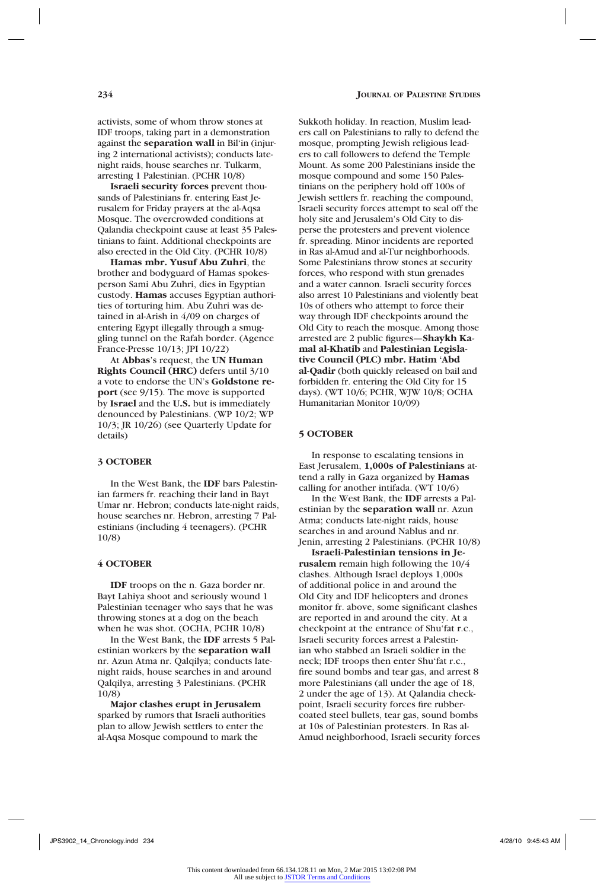activists, some of whom throw stones at IDF troops, taking part in a demonstration against the **separation wall** in Bil'in (injuring 2 international activists); conducts latenight raids, house searches nr. Tulkarm, arresting 1 Palestinian. (PCHR 10/8)

**Israeli security forces** prevent thousands of Palestinians fr. entering East Jerusalem for Friday prayers at the al-Aqsa Mosque. The overcrowded conditions at Qalandia checkpoint cause at least 35 Palestinians to faint. Additional checkpoints are also erected in the Old City. (PCHR 10/8)

**Hamas mbr. Yusuf Abu Zuhri**, the brother and bodyguard of Hamas spokesperson Sami Abu Zuhri, dies in Egyptian custody. **Hamas** accuses Egyptian authorities of torturing him. Abu Zuhri was detained in al-Arish in 4/09 on charges of entering Egypt illegally through a smuggling tunnel on the Rafah border. (Agence France-Presse 10/13; JPI 10/22)

At **Abbas**'s request, the **UN Human Rights Council (HRC)** defers until 3/10 a vote to endorse the UN's **Goldstone report** (see 9/15). The move is supported by **Israel** and the **U.S.** but is immediately denounced by Palestinians. (WP 10/2; WP 10/3; JR 10/26) (see Quarterly Update for details)

## **3 OCTOBER**

In the West Bank, the **IDF** bars Palestinian farmers fr. reaching their land in Bayt Umar nr. Hebron; conducts late-night raids, house searches nr. Hebron, arresting 7 Palestinians (including 4 teenagers). (PCHR 10/8)

#### **4 OCTOBER**

**IDF** troops on the n. Gaza border nr. Bayt Lahiya shoot and seriously wound 1 Palestinian teenager who says that he was throwing stones at a dog on the beach when he was shot. (OCHA, PCHR 10/8)

In the West Bank, the **IDF** arrests 5 Palestinian workers by the **separation wall** nr. Azun Atma nr. Qalqilya; conducts latenight raids, house searches in and around Qalqilya, arresting 3 Palestinians. (PCHR 10/8)

**Major clashes erupt in Jerusalem** sparked by rumors that Israeli authorities plan to allow Jewish settlers to enter the al-Aqsa Mosque compound to mark the

Sukkoth holiday. In reaction, Muslim leaders call on Palestinians to rally to defend the mosque, prompting Jewish religious leaders to call followers to defend the Temple Mount. As some 200 Palestinians inside the mosque compound and some 150 Palestinians on the periphery hold off 100s of Jewish settlers fr. reaching the compound, Israeli security forces attempt to seal off the holy site and Jerusalem's Old City to disperse the protesters and prevent violence fr. spreading. Minor incidents are reported in Ras al-Amud and al-Tur neighborhoods. Some Palestinians throw stones at security forces, who respond with stun grenades and a water cannon. Israeli security forces also arrest 10 Palestinians and violently beat 10s of others who attempt to force their way through IDF checkpoints around the Old City to reach the mosque. Among those arrested are 2 public figures—**Shaykh Kamal al-Khatib** and **Palestinian Legislative Council (PLC) mbr. Hatim 'Abd al-Qadir** (both quickly released on bail and forbidden fr. entering the Old City for 15 days). (WT 10/6; PCHR, WJW 10/8; OCHA Humanitarian Monitor 10/09)

### **5 OCTOBER**

In response to escalating tensions in East Jerusalem, **1,000s of Palestinians** attend a rally in Gaza organized by **Hamas** calling for another intifada. (WT 10/6)

In the West Bank, the **IDF** arrests a Palestinian by the **separation wall** nr. Azun Atma; conducts late-night raids, house searches in and around Nablus and nr. Jenin, arresting 2 Palestinians. (PCHR 10/8)

**Israeli-Palestinian tensions in Jerusalem** remain high following the 10/4 clashes. Although Israel deploys 1,000s of additional police in and around the Old City and IDF helicopters and drones monitor fr. above, some significant clashes are reported in and around the city. At a checkpoint at the entrance of Shu'fat r.c., Israeli security forces arrest a Palestinian who stabbed an Israeli soldier in the neck; IDF troops then enter Shu'fat r.c., fire sound bombs and tear gas, and arrest 8 more Palestinians (all under the age of 18, 2 under the age of 13). At Qalandia checkpoint, Israeli security forces fire rubbercoated steel bullets, tear gas, sound bombs at 10s of Palestinian protesters. In Ras al-Amud neighborhood, Israeli security forces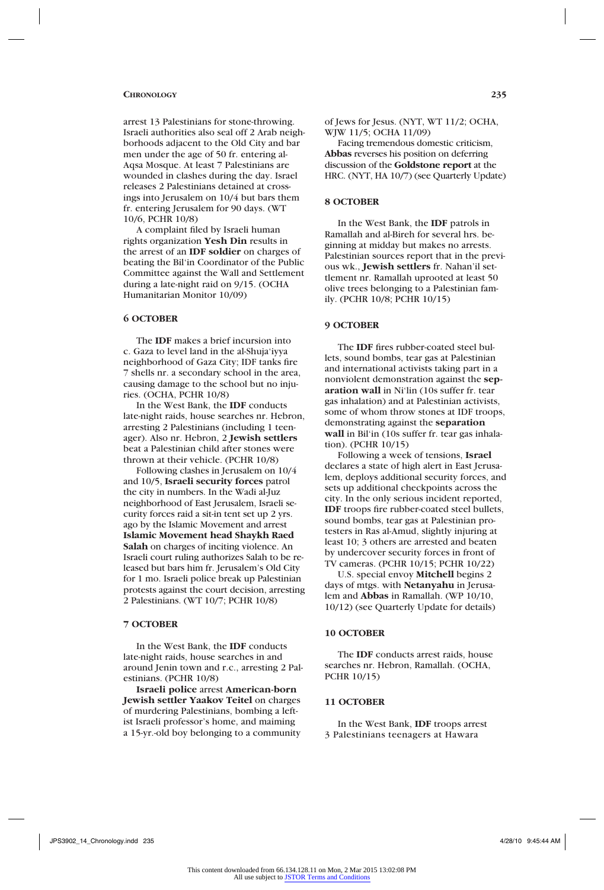arrest 13 Palestinians for stone-throwing. Israeli authorities also seal off 2 Arab neighborhoods adjacent to the Old City and bar men under the age of 50 fr. entering al-Aqsa Mosque. At least 7 Palestinians are wounded in clashes during the day. Israel releases 2 Palestinians detained at crossings into Jerusalem on 10/4 but bars them fr. entering Jerusalem for 90 days. (WT 10/6, PCHR 10/8)

A complaint filed by Israeli human rights organization **Yesh Din** results in the arrest of an **IDF soldier** on charges of beating the Bil'in Coordinator of the Public Committee against the Wall and Settlement during a late-night raid on 9/15. (OCHA Humanitarian Monitor 10/09)

## **6 OCTOBER**

The **IDF** makes a brief incursion into c. Gaza to level land in the al-Shuja'iyya neighborhood of Gaza City; IDF tanks fire 7 shells nr. a secondary school in the area, causing damage to the school but no injuries. (OCHA, PCHR 10/8)

In the West Bank, the **IDF** conducts late-night raids, house searches nr. Hebron, arresting 2 Palestinians (including 1 teenager). Also nr. Hebron, 2 **Jewish settlers** beat a Palestinian child after stones were thrown at their vehicle. (PCHR 10/8)

Following clashes in Jerusalem on 10/4 and 10/5, **Israeli security forces** patrol the city in numbers. In the Wadi al-Juz neighborhood of East Jerusalem, Israeli security forces raid a sit-in tent set up 2 yrs. ago by the Islamic Movement and arrest **Islamic Movement head Shaykh Raed Salah** on charges of inciting violence. An Israeli court ruling authorizes Salah to be released but bars him fr. Jerusalem's Old City for 1 mo. Israeli police break up Palestinian protests against the court decision, arresting 2 Palestinians. (WT 10/7; PCHR 10/8)

#### **7 OCTOBER**

In the West Bank, the **IDF** conducts late-night raids, house searches in and around Jenin town and r.c., arresting 2 Palestinians. (PCHR 10/8)

**Israeli police** arrest **American-born Jewish settler Yaakov Teitel** on charges of murdering Palestinians, bombing a leftist Israeli professor's home, and maiming a 15-yr.-old boy belonging to a community of Jews for Jesus. (NYT, WT 11/2; OCHA, WJW 11/5; OCHA 11/09)

Facing tremendous domestic criticism, **Abbas** reverses his position on deferring discussion of the **Goldstone report** at the HRC. (NYT, HA 10/7) (see Quarterly Update)

## **8 OCTOBER**

In the West Bank, the **IDF** patrols in Ramallah and al-Bireh for several hrs. beginning at midday but makes no arrests. Palestinian sources report that in the previous wk., **Jewish settlers** fr. Nahan'il settlement nr. Ramallah uprooted at least 50 olive trees belonging to a Palestinian family. (PCHR 10/8; PCHR 10/15)

### **9 OCTOBER**

The **IDF** fires rubber-coated steel bullets, sound bombs, tear gas at Palestinian and international activists taking part in a nonviolent demonstration against the **separation wall** in Ni'lin (10s suffer fr. tear gas inhalation) and at Palestinian activists, some of whom throw stones at IDF troops, demonstrating against the **separation wall** in Bil'in (10s suffer fr. tear gas inhalation). (PCHR 10/15)

Following a week of tensions, **Israel**  declares a state of high alert in East Jerusalem, deploys additional security forces, and sets up additional checkpoints across the city. In the only serious incident reported, **IDF** troops fire rubber-coated steel bullets, sound bombs, tear gas at Palestinian protesters in Ras al-Amud, slightly injuring at least 10; 3 others are arrested and beaten by undercover security forces in front of TV cameras. (PCHR 10/15; PCHR 10/22)

U.S. special envoy **Mitchell** begins 2 days of mtgs. with **Netanyahu** in Jerusalem and **Abbas** in Ramallah. (WP 10/10, 10/12) (see Quarterly Update for details)

## **10 OCTOBER**

The **IDF** conducts arrest raids, house searches nr. Hebron, Ramallah. (OCHA, PCHR 10/15)

### **11 OCTOBER**

In the West Bank, **IDF** troops arrest 3 Palestinians teenagers at Hawara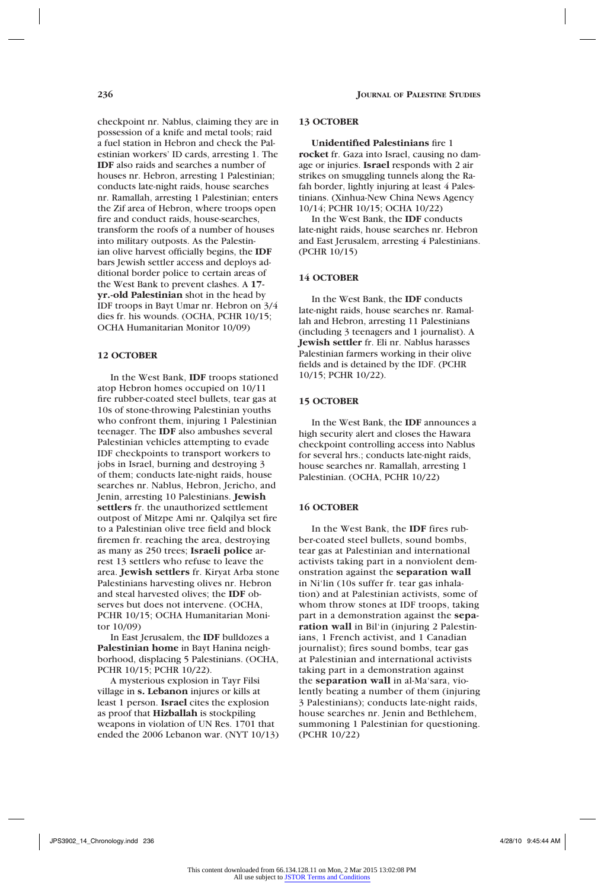checkpoint nr. Nablus, claiming they are in possession of a knife and metal tools; raid a fuel station in Hebron and check the Palestinian workers' ID cards, arresting 1. The **IDF** also raids and searches a number of houses nr. Hebron, arresting 1 Palestinian; conducts late-night raids, house searches nr. Ramallah, arresting 1 Palestinian; enters the Zif area of Hebron, where troops open fire and conduct raids, house-searches, transform the roofs of a number of houses into military outposts. As the Palestinian olive harvest officially begins, the **IDF** bars Jewish settler access and deploys additional border police to certain areas of the West Bank to prevent clashes. A **17 yr.-old Palestinian** shot in the head by IDF troops in Bayt Umar nr. Hebron on 3/4 dies fr. his wounds. (OCHA, PCHR 10/15; OCHA Humanitarian Monitor 10/09)

## **12 OCTOBER**

In the West Bank, **IDF** troops stationed atop Hebron homes occupied on 10/11 fire rubber-coated steel bullets, tear gas at 10s of stone-throwing Palestinian youths who confront them, injuring 1 Palestinian teenager. The **IDF** also ambushes several Palestinian vehicles attempting to evade IDF checkpoints to transport workers to jobs in Israel, burning and destroying 3 of them; conducts late-night raids, house searches nr. Nablus, Hebron, Jericho, and Jenin, arresting 10 Palestinians. **Jewish settlers** fr. the unauthorized settlement outpost of Mitzpe Ami nr. Qalqilya set fire to a Palestinian olive tree field and block firemen fr. reaching the area, destroying as many as 250 trees; **Israeli police** arrest 13 settlers who refuse to leave the area. **Jewish settlers** fr. Kiryat Arba stone Palestinians harvesting olives nr. Hebron and steal harvested olives; the **IDF** observes but does not intervene. (OCHA, PCHR 10/15; OCHA Humanitarian Monitor 10/09)

In East Jerusalem, the **IDF** bulldozes a **Palestinian home** in Bayt Hanina neighborhood, displacing 5 Palestinians. (OCHA, PCHR 10/15; PCHR 10/22).

A mysterious explosion in Tayr Filsi village in **s. Lebanon** injures or kills at least 1 person. **Israel** cites the explosion as proof that **Hizballah** is stockpiling weapons in violation of UN Res. 1701 that ended the 2006 Lebanon war. (NYT 10/13)

### **13 OCTOBER**

**Unidentified Palestinians** fire 1 **rocket** fr. Gaza into Israel, causing no damage or injuries. **Israel** responds with 2 air strikes on smuggling tunnels along the Rafah border, lightly injuring at least 4 Palestinians. (Xinhua-New China News Agency 10/14; PCHR 10/15; OCHA 10/22)

In the West Bank, the **IDF** conducts late-night raids, house searches nr. Hebron and East Jerusalem, arresting 4 Palestinians. (PCHR 10/15)

## **14 OCTOBER**

In the West Bank, the **IDF** conducts late-night raids, house searches nr. Ramallah and Hebron, arresting 11 Palestinians (including 3 teenagers and 1 journalist). A **Jewish settler** fr. Eli nr. Nablus harasses Palestinian farmers working in their olive fields and is detained by the IDF. (PCHR 10/15; PCHR 10/22).

### **15 OCTOBER**

In the West Bank, the **IDF** announces a high security alert and closes the Hawara checkpoint controlling access into Nablus for several hrs.; conducts late-night raids, house searches nr. Ramallah, arresting 1 Palestinian. (OCHA, PCHR 10/22)

## **16 OCTOBER**

In the West Bank, the **IDF** fires rubber-coated steel bullets, sound bombs, tear gas at Palestinian and international activists taking part in a nonviolent demonstration against the **separation wall** in Ni'lin (10s suffer fr. tear gas inhalation) and at Palestinian activists, some of whom throw stones at IDF troops, taking part in a demonstration against the **separation wall** in Bil'in (injuring 2 Palestinians, 1 French activist, and 1 Canadian journalist); fires sound bombs, tear gas at Palestinian and international activists taking part in a demonstration against the **separation wall** in al-Ma'sara, violently beating a number of them (injuring 3 Palestinians); conducts late-night raids, house searches nr. Jenin and Bethlehem, summoning 1 Palestinian for questioning. (PCHR 10/22)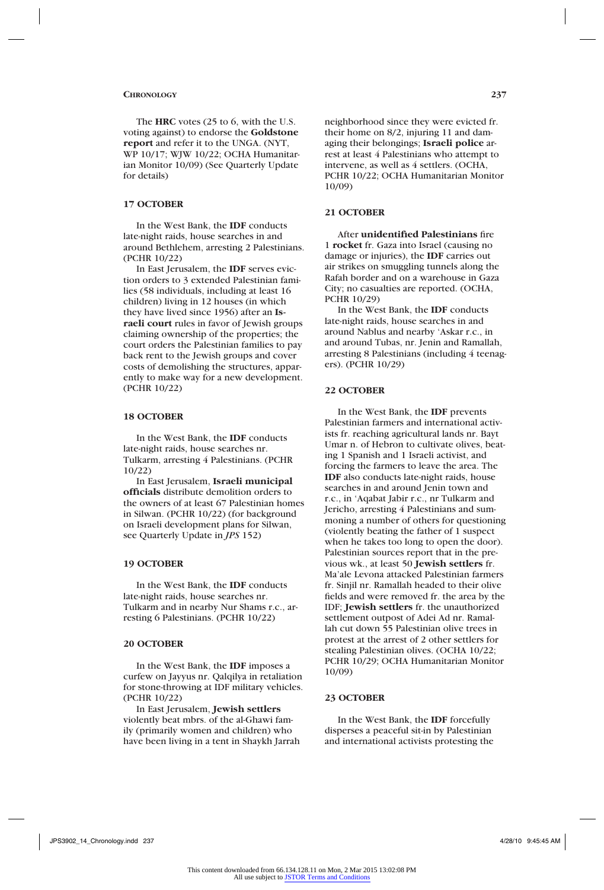The **HRC** votes (25 to 6, with the U.S. voting against) to endorse the **Goldstone report** and refer it to the UNGA. (NYT, WP 10/17; WJW 10/22; OCHA Humanitarian Monitor 10/09) (See Quarterly Update for details)

## **17 OCTOBER**

In the West Bank, the **IDF** conducts late-night raids, house searches in and around Bethlehem, arresting 2 Palestinians. (PCHR 10/22)

In East Jerusalem, the **IDF** serves eviction orders to 3 extended Palestinian families (58 individuals, including at least 16 children) living in 12 houses (in which they have lived since 1956) after an **Israeli court** rules in favor of Jewish groups claiming ownership of the properties; the court orders the Palestinian families to pay back rent to the Jewish groups and cover costs of demolishing the structures, apparently to make way for a new development. (PCHR 10/22)

## **18 OCTOBER**

In the West Bank, the **IDF** conducts late-night raids, house searches nr. Tulkarm, arresting 4 Palestinians. (PCHR 10/22)

In East Jerusalem, **Israeli municipal officials** distribute demolition orders to the owners of at least 67 Palestinian homes in Silwan. (PCHR 10/22) (for background on Israeli development plans for Silwan, see Quarterly Update in *JPS* 152)

#### **19 OCTOBER**

In the West Bank, the **IDF** conducts late-night raids, house searches nr. Tulkarm and in nearby Nur Shams r.c., arresting 6 Palestinians. (PCHR 10/22)

## **20 OCTOBER**

In the West Bank, the **IDF** imposes a curfew on Jayyus nr. Qalqilya in retaliation for stone-throwing at IDF military vehicles. (PCHR 10/22)

In East Jerusalem, **Jewish settlers** violently beat mbrs. of the al-Ghawi family (primarily women and children) who have been living in a tent in Shaykh Jarrah neighborhood since they were evicted fr. their home on 8/2, injuring 11 and damaging their belongings; **Israeli police** arrest at least 4 Palestinians who attempt to intervene, as well as 4 settlers. (OCHA, PCHR 10/22; OCHA Humanitarian Monitor 10/09)

## **21 OCTOBER**

After **unidentified Palestinians** fire 1 **rocket** fr. Gaza into Israel (causing no damage or injuries), the **IDF** carries out air strikes on smuggling tunnels along the Rafah border and on a warehouse in Gaza City; no casualties are reported. (OCHA, PCHR 10/29)

In the West Bank, the **IDF** conducts late-night raids, house searches in and around Nablus and nearby 'Askar r.c., in and around Tubas, nr. Jenin and Ramallah, arresting 8 Palestinians (including 4 teenagers). (PCHR 10/29)

#### **22 OCTOBER**

In the West Bank, the **IDF** prevents Palestinian farmers and international activists fr. reaching agricultural lands nr. Bayt Umar n. of Hebron to cultivate olives, beating 1 Spanish and 1 Israeli activist, and forcing the farmers to leave the area. The **IDF** also conducts late-night raids, house searches in and around Jenin town and r.c., in 'Aqabat Jabir r.c., nr Tulkarm and Jericho, arresting 4 Palestinians and summoning a number of others for questioning (violently beating the father of 1 suspect when he takes too long to open the door). Palestinian sources report that in the previous wk., at least 50 **Jewish settlers** fr. Ma'ale Levona attacked Palestinian farmers fr. Sinjil nr. Ramallah headed to their olive fields and were removed fr. the area by the IDF; **Jewish settlers** fr. the unauthorized settlement outpost of Adei Ad nr. Ramallah cut down 55 Palestinian olive trees in protest at the arrest of 2 other settlers for stealing Palestinian olives. (OCHA 10/22; PCHR 10/29; OCHA Humanitarian Monitor 10/09)

## **23 OCTOBER**

In the West Bank, the **IDF** forcefully disperses a peaceful sit-in by Palestinian and international activists protesting the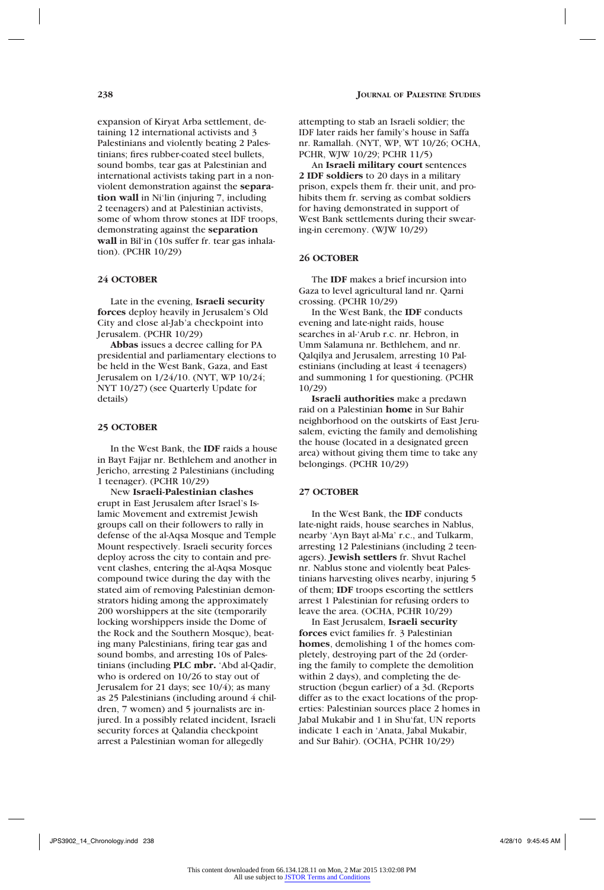expansion of Kiryat Arba settlement, detaining 12 international activists and 3 Palestinians and violently beating 2 Palestinians; fires rubber-coated steel bullets, sound bombs, tear gas at Palestinian and international activists taking part in a nonviolent demonstration against the **separation wall** in Ni'lin (injuring 7, including 2 teenagers) and at Palestinian activists, some of whom throw stones at IDF troops, demonstrating against the **separation wall** in Bil'in (10s suffer fr. tear gas inhalation). (PCHR 10/29)

## **24 OCTOBER**

Late in the evening, **Israeli security forces** deploy heavily in Jerusalem's Old City and close al-Jab'a checkpoint into Jerusalem. (PCHR 10/29)

**Abbas** issues a decree calling for PA presidential and parliamentary elections to be held in the West Bank, Gaza, and East Jerusalem on 1/24/10. (NYT, WP 10/24; NYT 10/27) (see Quarterly Update for details)

#### **25 OCTOBER**

In the West Bank, the **IDF** raids a house in Bayt Fajjar nr. Bethlehem and another in Jericho, arresting 2 Palestinians (including 1 teenager). (PCHR 10/29)

New **Israeli-Palestinian clashes**  erupt in East Jerusalem after Israel's Islamic Movement and extremist Jewish groups call on their followers to rally in defense of the al-Aqsa Mosque and Temple Mount respectively. Israeli security forces deploy across the city to contain and prevent clashes, entering the al-Aqsa Mosque compound twice during the day with the stated aim of removing Palestinian demonstrators hiding among the approximately 200 worshippers at the site (temporarily locking worshippers inside the Dome of the Rock and the Southern Mosque), beating many Palestinians, firing tear gas and sound bombs, and arresting 10s of Palestinians (including **PLC mbr.** 'Abd al-Qadir, who is ordered on 10/26 to stay out of Jerusalem for 21 days; see 10/4); as many as 25 Palestinians (including around 4 children, 7 women) and 5 journalists are injured. In a possibly related incident, Israeli security forces at Qalandia checkpoint arrest a Palestinian woman for allegedly

attempting to stab an Israeli soldier; the IDF later raids her family's house in Saffa nr. Ramallah. (NYT, WP, WT 10/26; OCHA, PCHR, WJW 10/29; PCHR 11/5)

An **Israeli military court** sentences **2 IDF soldiers** to 20 days in a military prison, expels them fr. their unit, and prohibits them fr. serving as combat soldiers for having demonstrated in support of West Bank settlements during their swearing-in ceremony. (WJW 10/29)

## **26 OCTOBER**

The **IDF** makes a brief incursion into Gaza to level agricultural land nr. Qarni crossing. (PCHR 10/29)

In the West Bank, the **IDF** conducts evening and late-night raids, house searches in al-'Arub r.c. nr. Hebron, in Umm Salamuna nr. Bethlehem, and nr. Qalqilya and Jerusalem, arresting 10 Palestinians (including at least 4 teenagers) and summoning 1 for questioning. (PCHR 10/29)

**Israeli authorities** make a predawn raid on a Palestinian **home** in Sur Bahir neighborhood on the outskirts of East Jerusalem, evicting the family and demolishing the house (located in a designated green area) without giving them time to take any belongings. (PCHR 10/29)

## **27 OCTOBER**

In the West Bank, the **IDF** conducts late-night raids, house searches in Nablus, nearby 'Ayn Bayt al-Ma' r.c., and Tulkarm, arresting 12 Palestinians (including 2 teenagers). **Jewish settlers** fr. Shvut Rachel nr. Nablus stone and violently beat Palestinians harvesting olives nearby, injuring 5 of them; **IDF** troops escorting the settlers arrest 1 Palestinian for refusing orders to leave the area. (OCHA, PCHR 10/29)

In East Jerusalem, **Israeli security forces** evict families fr. 3 Palestinian **homes**, demolishing 1 of the homes completely, destroying part of the 2d (ordering the family to complete the demolition within 2 days), and completing the destruction (begun earlier) of a 3d. (Reports differ as to the exact locations of the properties: Palestinian sources place 2 homes in Jabal Mukabir and 1 in Shu'fat, UN reports indicate 1 each in 'Anata, Jabal Mukabir, and Sur Bahir). (OCHA, PCHR 10/29)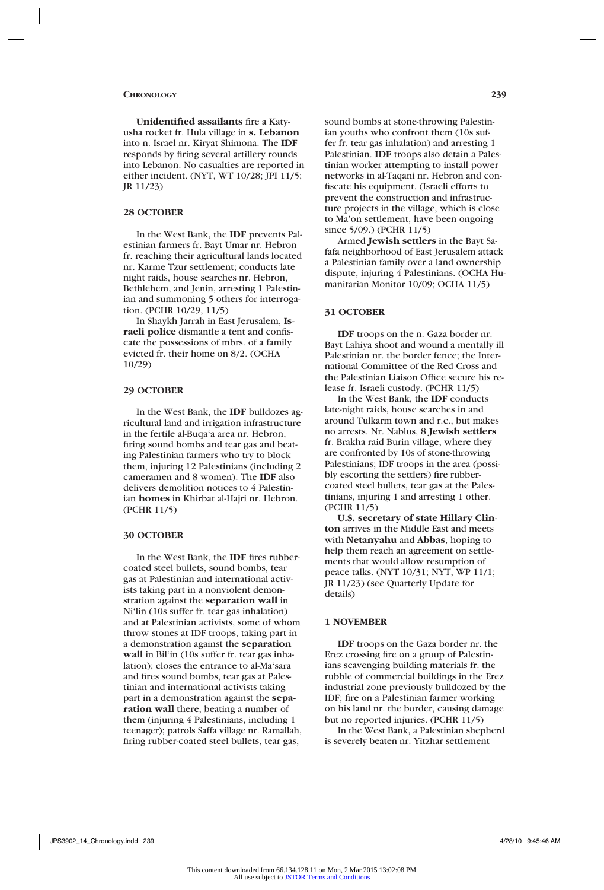**Unidentified assailants** fire a Katyusha rocket fr. Hula village in **s. Lebanon** into n. Israel nr. Kiryat Shimona. The **IDF** responds by firing several artillery rounds into Lebanon. No casualties are reported in either incident. (NYT, WT 10/28; JPI 11/5; JR 11/23)

### **28 OCTOBER**

In the West Bank, the **IDF** prevents Palestinian farmers fr. Bayt Umar nr. Hebron fr. reaching their agricultural lands located nr. Karme Tzur settlement; conducts late night raids, house searches nr. Hebron, Bethlehem, and Jenin, arresting 1 Palestinian and summoning 5 others for interrogation. (PCHR 10/29, 11/5)

In Shaykh Jarrah in East Jerusalem, **Israeli police** dismantle a tent and confiscate the possessions of mbrs. of a family evicted fr. their home on 8/2. (OCHA 10/29)

## **29 OCTOBER**

In the West Bank, the **IDF** bulldozes agricultural land and irrigation infrastructure in the fertile al-Buqa'a area nr. Hebron, firing sound bombs and tear gas and beating Palestinian farmers who try to block them, injuring 12 Palestinians (including 2 cameramen and 8 women). The **IDF** also delivers demolition notices to 4 Palestinian **homes** in Khirbat al-Hajri nr. Hebron. (PCHR 11/5)

### **30 OCTOBER**

In the West Bank, the **IDF** fires rubbercoated steel bullets, sound bombs, tear gas at Palestinian and international activists taking part in a nonviolent demonstration against the **separation wall** in Ni'lin (10s suffer fr. tear gas inhalation) and at Palestinian activists, some of whom throw stones at IDF troops, taking part in a demonstration against the **separation wall** in Bil'in (10s suffer fr. tear gas inhalation); closes the entrance to al-Ma'sara and fires sound bombs, tear gas at Palestinian and international activists taking part in a demonstration against the **separation wall** there, beating a number of them (injuring 4 Palestinians, including 1 teenager); patrols Saffa village nr. Ramallah, firing rubber-coated steel bullets, tear gas,

sound bombs at stone-throwing Palestinian youths who confront them (10s suffer fr. tear gas inhalation) and arresting 1 Palestinian. **IDF** troops also detain a Palestinian worker attempting to install power networks in al-Taqani nr. Hebron and confiscate his equipment. (Israeli efforts to prevent the construction and infrastructure projects in the village, which is close to Ma'on settlement, have been ongoing since 5/09.) (PCHR 11/5)

Armed **Jewish settlers** in the Bayt Safafa neighborhood of East Jerusalem attack a Palestinian family over a land ownership dispute, injuring 4 Palestinians. (OCHA Humanitarian Monitor 10/09; OCHA 11/5)

## **31 OCTOBER**

**IDF** troops on the n. Gaza border nr. Bayt Lahiya shoot and wound a mentally ill Palestinian nr. the border fence; the International Committee of the Red Cross and the Palestinian Liaison Office secure his release fr. Israeli custody. (PCHR 11/5)

In the West Bank, the **IDF** conducts late-night raids, house searches in and around Tulkarm town and r.c., but makes no arrests. Nr. Nablus, 8 **Jewish settlers** fr. Brakha raid Burin village, where they are confronted by 10s of stone-throwing Palestinians; IDF troops in the area (possibly escorting the settlers) fire rubbercoated steel bullets, tear gas at the Palestinians, injuring 1 and arresting 1 other. (PCHR 11/5)

**U.S. secretary of state Hillary Clinton** arrives in the Middle East and meets with **Netanyahu** and **Abbas**, hoping to help them reach an agreement on settlements that would allow resumption of peace talks. (NYT 10/31; NYT, WP 11/1; JR 11/23) (see Quarterly Update for details)

## **1 NOVEMBER**

**IDF** troops on the Gaza border nr. the Erez crossing fire on a group of Palestinians scavenging building materials fr. the rubble of commercial buildings in the Erez industrial zone previously bulldozed by the IDF; fire on a Palestinian farmer working on his land nr. the border, causing damage but no reported injuries. (PCHR 11/5)

In the West Bank, a Palestinian shepherd is severely beaten nr. Yitzhar settlement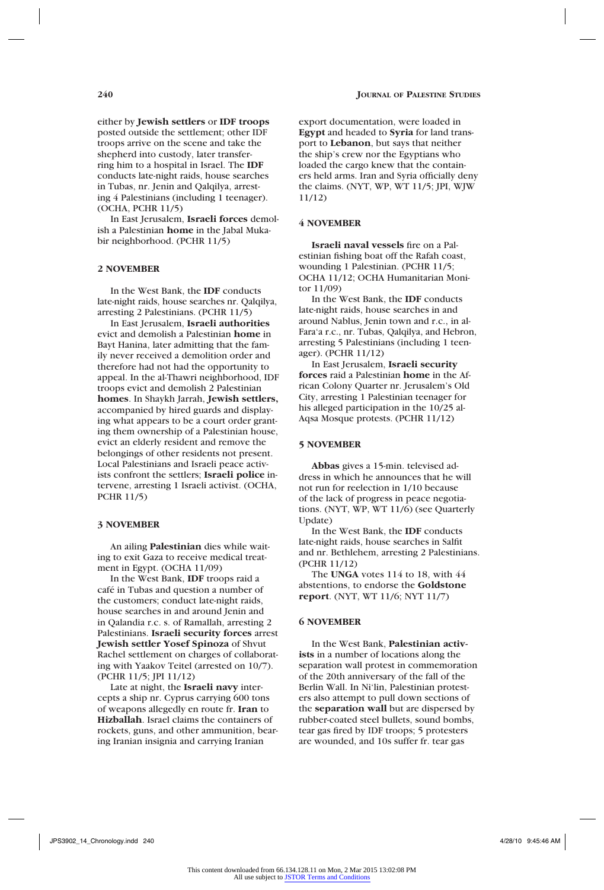either by **Jewish settlers** or **IDF troops** posted outside the settlement; other IDF troops arrive on the scene and take the shepherd into custody, later transferring him to a hospital in Israel. The **IDF** conducts late-night raids, house searches in Tubas, nr. Jenin and Qalqilya, arresting 4 Palestinians (including 1 teenager). (OCHA, PCHR 11/5)

In East Jerusalem, **Israeli forces** demolish a Palestinian **home** in the Jabal Mukabir neighborhood. (PCHR 11/5)

## **2 NOVEMBER**

In the West Bank, the **IDF** conducts late-night raids, house searches nr. Qalqilya, arresting 2 Palestinians. (PCHR 11/5)

In East Jerusalem, **Israeli authorities** evict and demolish a Palestinian **home** in Bayt Hanina, later admitting that the family never received a demolition order and therefore had not had the opportunity to appeal. In the al-Thawri neighborhood, IDF troops evict and demolish 2 Palestinian **homes**. In Shaykh Jarrah, **Jewish settlers,** accompanied by hired guards and displaying what appears to be a court order granting them ownership of a Palestinian house, evict an elderly resident and remove the belongings of other residents not present. Local Palestinians and Israeli peace activists confront the settlers; **Israeli police** intervene, arresting 1 Israeli activist. (OCHA, PCHR 11/5)

## **3 NOVEMBER**

An ailing **Palestinian** dies while waiting to exit Gaza to receive medical treatment in Egypt. (OCHA 11/09)

In the West Bank, **IDF** troops raid a café in Tubas and question a number of the customers; conduct late-night raids, house searches in and around Jenin and in Qalandia r.c. s. of Ramallah, arresting 2 Palestinians. **Israeli security forces** arrest **Jewish settler Yosef Spinoza** of Shvut Rachel settlement on charges of collaborating with Yaakov Teitel (arrested on 10/7). (PCHR 11/5; JPI 11/12)

Late at night, the **Israeli navy** intercepts a ship nr. Cyprus carrying 600 tons of weapons allegedly en route fr. **Iran** to **Hizballah**. Israel claims the containers of rockets, guns, and other ammunition, bearing Iranian insignia and carrying Iranian

export documentation, were loaded in **Egypt** and headed to **Syria** for land transport to **Lebanon**, but says that neither the ship's crew nor the Egyptians who loaded the cargo knew that the containers held arms. Iran and Syria officially deny the claims. (NYT, WP, WT 11/5; JPI, WJW 11/12)

### **4 NOVEMBER**

**Israeli naval vessels** fire on a Palestinian fishing boat off the Rafah coast, wounding 1 Palestinian. (PCHR 11/5; OCHA 11/12; OCHA Humanitarian Monitor 11/09)

In the West Bank, the **IDF** conducts late-night raids, house searches in and around Nablus, Jenin town and r.c., in al-Fara'a r.c., nr. Tubas, Qalqilya, and Hebron, arresting 5 Palestinians (including 1 teenager). (PCHR 11/12)

In East Jerusalem, **Israeli security forces** raid a Palestinian **home** in the African Colony Quarter nr. Jerusalem's Old City, arresting 1 Palestinian teenager for his alleged participation in the 10/25 al-Aqsa Mosque protests. (PCHR 11/12)

#### **5 NOVEMBER**

**Abbas** gives a 15-min. televised address in which he announces that he will not run for reelection in 1/10 because of the lack of progress in peace negotiations. (NYT, WP, WT 11/6) (see Quarterly Update)

In the West Bank, the **IDF** conducts late-night raids, house searches in Salfit and nr. Bethlehem, arresting 2 Palestinians. (PCHR 11/12)

The **UNGA** votes 114 to 18, with 44 abstentions, to endorse the **Goldstone report**. (NYT, WT 11/6; NYT 11/7)

#### **6 NOVEMBER**

In the West Bank, **Palestinian activists** in a number of locations along the separation wall protest in commemoration of the 20th anniversary of the fall of the Berlin Wall. In Ni'lin, Palestinian protesters also attempt to pull down sections of the **separation wall** but are dispersed by rubber-coated steel bullets, sound bombs, tear gas fired by IDF troops; 5 protesters are wounded, and 10s suffer fr. tear gas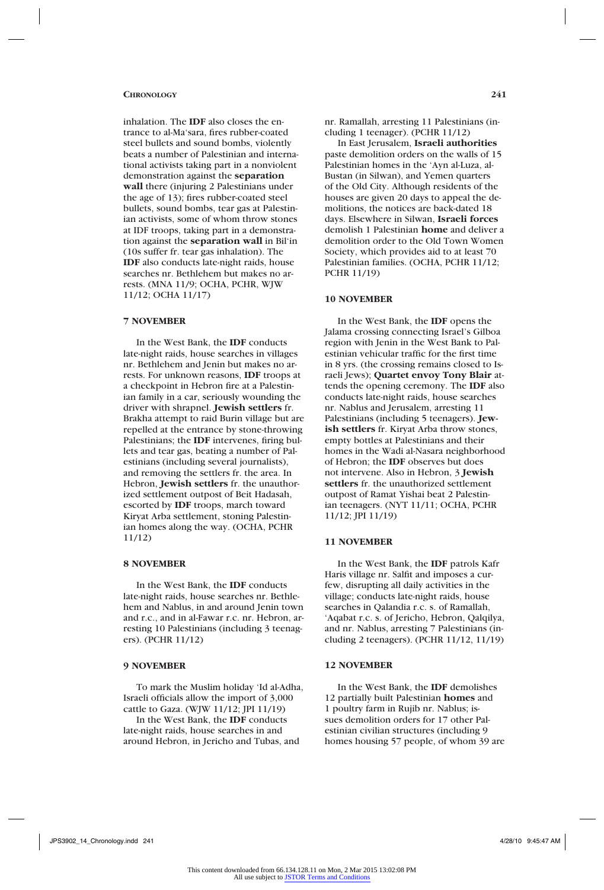inhalation. The **IDF** also closes the entrance to al-Ma'sara, fires rubber-coated steel bullets and sound bombs, violently beats a number of Palestinian and international activists taking part in a nonviolent demonstration against the **separation wall** there (injuring 2 Palestinians under the age of 13); fires rubber-coated steel bullets, sound bombs, tear gas at Palestinian activists, some of whom throw stones at IDF troops, taking part in a demonstration against the **separation wall** in Bil'in (10s suffer fr. tear gas inhalation). The **IDF** also conducts late-night raids, house searches nr. Bethlehem but makes no arrests. (MNA 11/9; OCHA, PCHR, WJW 11/12; OCHA 11/17)

## **7 NOVEMBER**

In the West Bank, the **IDF** conducts late-night raids, house searches in villages nr. Bethlehem and Jenin but makes no arrests. For unknown reasons, **IDF** troops at a checkpoint in Hebron fire at a Palestinian family in a car, seriously wounding the driver with shrapnel. **Jewish settlers** fr. Brakha attempt to raid Burin village but are repelled at the entrance by stone-throwing Palestinians; the **IDF** intervenes, firing bullets and tear gas, beating a number of Palestinians (including several journalists), and removing the settlers fr. the area. In Hebron, **Jewish settlers** fr. the unauthorized settlement outpost of Beit Hadasah, escorted by **IDF** troops, march toward Kiryat Arba settlement, stoning Palestinian homes along the way. (OCHA, PCHR 11/12)

#### **8 NOVEMBER**

In the West Bank, the **IDF** conducts late-night raids, house searches nr. Bethlehem and Nablus, in and around Jenin town and r.c., and in al-Fawar r.c. nr. Hebron, arresting 10 Palestinians (including 3 teenagers). (PCHR 11/12)

## **9 NOVEMBER**

To mark the Muslim holiday 'Id al-Adha, Israeli officials allow the import of 3,000 cattle to Gaza. (WJW 11/12; JPI 11/19)

In the West Bank, the **IDF** conducts late-night raids, house searches in and around Hebron, in Jericho and Tubas, and nr. Ramallah, arresting 11 Palestinians (including 1 teenager). (PCHR 11/12)

In East Jerusalem, **Israeli authorities** paste demolition orders on the walls of 15 Palestinian homes in the 'Ayn al-Luza, al-Bustan (in Silwan), and Yemen quarters of the Old City. Although residents of the houses are given 20 days to appeal the demolitions, the notices are back-dated 18 days. Elsewhere in Silwan, **Israeli forces** demolish 1 Palestinian **home** and deliver a demolition order to the Old Town Women Society, which provides aid to at least 70 Palestinian families. (OCHA, PCHR 11/12; PCHR 11/19)

## **10 NOVEMBER**

In the West Bank, the **IDF** opens the Jalama crossing connecting Israel's Gilboa region with Jenin in the West Bank to Palestinian vehicular traffic for the first time in 8 yrs. (the crossing remains closed to Israeli Jews); **Quartet envoy Tony Blair** attends the opening ceremony. The **IDF** also conducts late-night raids, house searches nr. Nablus and Jerusalem, arresting 11 Palestinians (including 5 teenagers). **Jewish settlers** fr. Kiryat Arba throw stones, empty bottles at Palestinians and their homes in the Wadi al-Nasara neighborhood of Hebron; the **IDF** observes but does not intervene. Also in Hebron, 3 **Jewish settlers** fr. the unauthorized settlement outpost of Ramat Yishai beat 2 Palestinian teenagers. (NYT 11/11; OCHA, PCHR 11/12; JPI 11/19)

## **11 NOVEMBER**

In the West Bank, the **IDF** patrols Kafr Haris village nr. Salfit and imposes a curfew, disrupting all daily activities in the village; conducts late-night raids, house searches in Qalandia r.c. s. of Ramallah, 'Aqabat r.c. s. of Jericho, Hebron, Qalqilya, and nr. Nablus, arresting 7 Palestinians (including 2 teenagers). (PCHR 11/12, 11/19)

## **12 NOVEMBER**

In the West Bank, the **IDF** demolishes 12 partially built Palestinian **homes** and 1 poultry farm in Rujib nr. Nablus; issues demolition orders for 17 other Palestinian civilian structures (including 9 homes housing 57 people, of whom 39 are